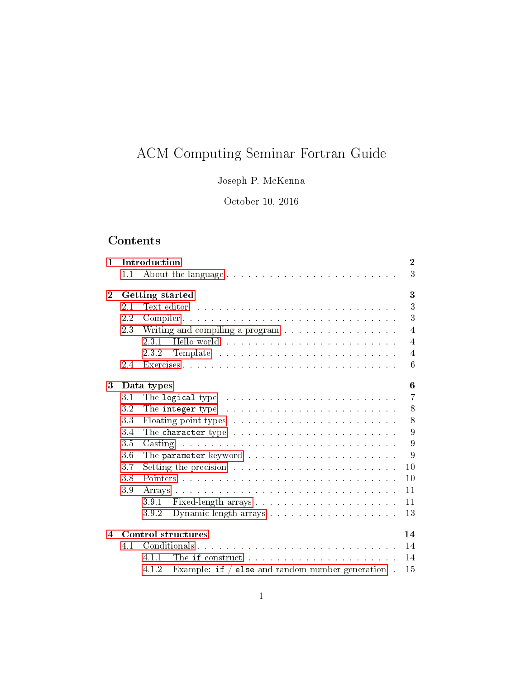# ACM Computing Seminar Fortran Guide

# Joseph P. McKenna

October 10, 2016

# Contents

| $\mathbf{1}$ | Introduction                    |                                                                                                                                                                                                                                         |                |  |  |  |  |  |  |  |  |  |
|--------------|---------------------------------|-----------------------------------------------------------------------------------------------------------------------------------------------------------------------------------------------------------------------------------------|----------------|--|--|--|--|--|--|--|--|--|
|              | 1.1                             |                                                                                                                                                                                                                                         | 3              |  |  |  |  |  |  |  |  |  |
| $\mathbf{2}$ |                                 | 3<br>Getting started                                                                                                                                                                                                                    |                |  |  |  |  |  |  |  |  |  |
|              | 2.1                             | Text editor response to the contract of the contract of the contract of the contract of the contract of the contract of the contract of the contract of the contract of the contract of the contract of the contract of the co          | 3              |  |  |  |  |  |  |  |  |  |
|              | 2.2                             |                                                                                                                                                                                                                                         | 3              |  |  |  |  |  |  |  |  |  |
|              | 23                              | Writing and compiling a program                                                                                                                                                                                                         | $\overline{4}$ |  |  |  |  |  |  |  |  |  |
|              |                                 | 231<br>Hello world and a subsequently and a subsequently set of the set of the set of the set of the set of the set of the set of the set of the set of the set of the set of the set of the set of the set of the set of the set of    | $\overline{4}$ |  |  |  |  |  |  |  |  |  |
|              |                                 |                                                                                                                                                                                                                                         | $\overline{4}$ |  |  |  |  |  |  |  |  |  |
|              | 2.4                             | Exercises                                                                                                                                                                                                                               | 6              |  |  |  |  |  |  |  |  |  |
| 3            |                                 | 6<br>Data types                                                                                                                                                                                                                         |                |  |  |  |  |  |  |  |  |  |
|              | 3.1                             |                                                                                                                                                                                                                                         | $\overline{7}$ |  |  |  |  |  |  |  |  |  |
|              | 3.2                             |                                                                                                                                                                                                                                         | 8              |  |  |  |  |  |  |  |  |  |
|              | 33                              |                                                                                                                                                                                                                                         | 8              |  |  |  |  |  |  |  |  |  |
|              | 3.4                             |                                                                                                                                                                                                                                         | 9              |  |  |  |  |  |  |  |  |  |
|              | 3.5                             | the contract of the contract of the contract of the contract of the contract of the contract of the contract of<br>Casting                                                                                                              | 9              |  |  |  |  |  |  |  |  |  |
|              | 36                              |                                                                                                                                                                                                                                         | 9              |  |  |  |  |  |  |  |  |  |
|              | 3.7                             |                                                                                                                                                                                                                                         | 10             |  |  |  |  |  |  |  |  |  |
|              | 3.8                             |                                                                                                                                                                                                                                         | 10             |  |  |  |  |  |  |  |  |  |
|              | 3.9                             |                                                                                                                                                                                                                                         | 11             |  |  |  |  |  |  |  |  |  |
|              |                                 | 391                                                                                                                                                                                                                                     | 11             |  |  |  |  |  |  |  |  |  |
|              |                                 | 392                                                                                                                                                                                                                                     | 13             |  |  |  |  |  |  |  |  |  |
| 4            | <b>Control structures</b><br>14 |                                                                                                                                                                                                                                         |                |  |  |  |  |  |  |  |  |  |
|              | 4.1                             |                                                                                                                                                                                                                                         | 14             |  |  |  |  |  |  |  |  |  |
|              |                                 | The if construct resonance in the series of the series of the series of the series of the series of the series of the series of the series of the series of the series of the series of the series of the series of the series<br>4.1.1 | 14             |  |  |  |  |  |  |  |  |  |
|              |                                 | Example: if $/$ else and random number generation.<br>4.1.2                                                                                                                                                                             | 15             |  |  |  |  |  |  |  |  |  |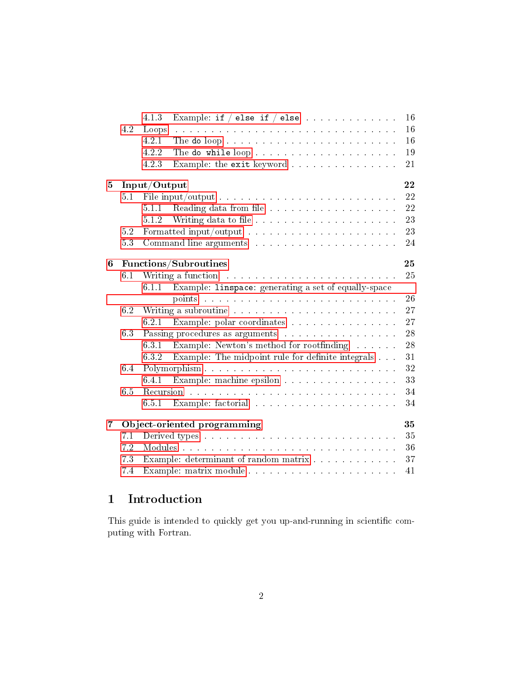|   |                    | 4.1.3<br>Example: if $/$ else if $/$ else                                                                                                                                                                                      | 16 |  |  |  |  |  |  |  |  |
|---|--------------------|--------------------------------------------------------------------------------------------------------------------------------------------------------------------------------------------------------------------------------|----|--|--|--|--|--|--|--|--|
|   | 4.2                | Loops<br>والمواصل والمتعاون والمتعاون والمتعاون والمتعاون والمتعاون والمتعاون والمتعاون والمتعاون والمتعاونة والمتعاونة                                                                                                        | 16 |  |  |  |  |  |  |  |  |
|   |                    | 4.2.1                                                                                                                                                                                                                          | 16 |  |  |  |  |  |  |  |  |
|   |                    | 4.2.2<br>The do while loop                                                                                                                                                                                                     | 19 |  |  |  |  |  |  |  |  |
|   |                    | Example: the exit keyword<br>4.2.3                                                                                                                                                                                             | 21 |  |  |  |  |  |  |  |  |
| 5 | 22<br>Input/Output |                                                                                                                                                                                                                                |    |  |  |  |  |  |  |  |  |
|   | 5.1                |                                                                                                                                                                                                                                | 22 |  |  |  |  |  |  |  |  |
|   |                    | 5.1.1                                                                                                                                                                                                                          | 22 |  |  |  |  |  |  |  |  |
|   |                    | 5.1.2                                                                                                                                                                                                                          | 23 |  |  |  |  |  |  |  |  |
|   | 5.2                |                                                                                                                                                                                                                                | 23 |  |  |  |  |  |  |  |  |
|   | 5.3                |                                                                                                                                                                                                                                | 24 |  |  |  |  |  |  |  |  |
| 6 |                    | Functions/Subroutines                                                                                                                                                                                                          | 25 |  |  |  |  |  |  |  |  |
|   | 6.1                | Writing a function and a series and a series of the series of the series of the series of the series of the series of the series of the series of the series of the series of the series of the series of the series of the se | 25 |  |  |  |  |  |  |  |  |
|   |                    | 6.1.1 Example: linspace: generating a set of equally-space                                                                                                                                                                     |    |  |  |  |  |  |  |  |  |
|   |                    | points received a received and contract the contract of the contract of the contract of the contract of the contract of the contract of the contract of the contract of the contract of the contract of the contract of the co | 26 |  |  |  |  |  |  |  |  |
|   | 6.2                |                                                                                                                                                                                                                                | 27 |  |  |  |  |  |  |  |  |
|   |                    | 6.2.1 Example: polar coordinates                                                                                                                                                                                               | 27 |  |  |  |  |  |  |  |  |
|   | 6.3                | Passing procedures as arguments                                                                                                                                                                                                | 28 |  |  |  |  |  |  |  |  |
|   |                    | Example: Newton's method for root<br>finding $\hfill\ldots\ldots\ldots$<br>6.3.1                                                                                                                                               | 28 |  |  |  |  |  |  |  |  |
|   |                    | Example: The midpoint rule for definite integrals<br>6.3.2                                                                                                                                                                     | 31 |  |  |  |  |  |  |  |  |
|   | 6.4                |                                                                                                                                                                                                                                | 32 |  |  |  |  |  |  |  |  |
|   |                    | Example: machine epsilon<br>6.4.1                                                                                                                                                                                              | 33 |  |  |  |  |  |  |  |  |
|   | 6.5                |                                                                                                                                                                                                                                | 34 |  |  |  |  |  |  |  |  |
|   |                    | 6.5.1                                                                                                                                                                                                                          | 34 |  |  |  |  |  |  |  |  |
| 7 |                    | Object-oriented programming                                                                                                                                                                                                    | 35 |  |  |  |  |  |  |  |  |
|   | 7.1                |                                                                                                                                                                                                                                | 35 |  |  |  |  |  |  |  |  |
|   | 7.2                |                                                                                                                                                                                                                                | 36 |  |  |  |  |  |  |  |  |
|   | 7.3                | Example: determinant of random matrix                                                                                                                                                                                          | 37 |  |  |  |  |  |  |  |  |
|   | 7.4                |                                                                                                                                                                                                                                | 41 |  |  |  |  |  |  |  |  |

# <span id="page-1-0"></span>1 Introduction

This guide is intended to quickly get you up-and-running in scientific computing with Fortran.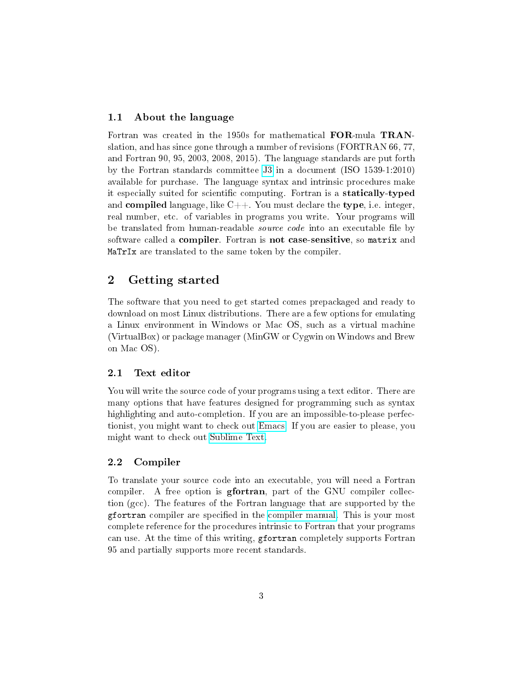## <span id="page-2-0"></span>1.1 About the language

Fortran was created in the 1950s for mathematical FOR-mula TRANslation, and has since gone through a number of revisions (FORTRAN 66, 77, and Fortran 90, 95, 2003, 2008, 2015). The language standards are put forth by the Fortran standards committee [J3](http://www.j3-fortran.org) in a document (ISO 1539-1:2010) available for purchase. The language syntax and intrinsic procedures make it especially suited for scientific computing. Fortran is a statically-typed and compiled language, like  $C_{++}$ . You must declare the type, i.e. integer, real number, etc. of variables in programs you write. Your programs will be translated from human-readable *source code* into an executable file by software called a compiler. Fortran is not case-sensitive, so matrix and MaTrIx are translated to the same token by the compiler.

## <span id="page-2-1"></span>2 Getting started

The software that you need to get started comes prepackaged and ready to download on most Linux distributions. There are a few options for emulating a Linux environment in Windows or Mac OS, such as a virtual machine (VirtualBox) or package manager (MinGW or Cygwin on Windows and Brew on Mac OS).

#### <span id="page-2-2"></span>2.1 Text editor

You will write the source code of your programs using a text editor. There are many options that have features designed for programming such as syntax highlighting and auto-completion. If you are an impossible-to-please perfectionist, you might want to check out [Emacs.](https://www.gnu.org/s/emacs/) If you are easier to please, you might want to check out [Sublime Text.](https://www.sublimetext.com/)

## <span id="page-2-3"></span>2.2 Compiler

To translate your source code into an executable, you will need a Fortran compiler. A free option is gfortran, part of the GNU compiler collection (gcc). The features of the Fortran language that are supported by the gfortran compiler are specified in the [compiler manual.](https://gcc.gnu.org/onlinedocs/gfortran/) This is your most complete reference for the procedures intrinsic to Fortran that your programs can use. At the time of this writing, gfortran completely supports Fortran 95 and partially supports more recent standards.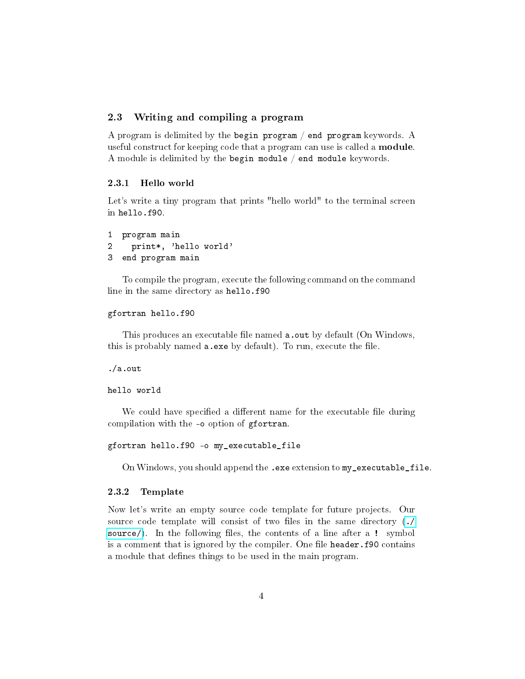## <span id="page-3-0"></span>2.3 Writing and compiling a program

A program is delimited by the begin program / end program keywords. A useful construct for keeping code that a program can use is called a module. A module is delimited by the begin module / end module keywords.

#### <span id="page-3-1"></span>2.3.1 Hello world

Let's write a tiny program that prints "hello world" to the terminal screen in hello.f90.

```
1 program main
2 print*, 'hello world'
3 end program main
```
To compile the program, execute the following command on the command line in the same directory as hello.f90

```
gfortran hello.f90
```
This produces an executable file named a.out by default (On Windows, this is probably named  $a$ . exe by default). To run, execute the file.

./a.out

#### hello world

We could have specified a different name for the executable file during compilation with the -o option of gfortran.

```
gfortran hello.f90 -o my_executable_file
```
On Windows, you should append the .exe extension to my\_executable\_file.

#### <span id="page-3-2"></span>2.3.2 Template

Now let's write an empty source code template for future projects. Our source code template will consist of two files in the same directory [\(./](./source/) [source/\)](./source/). In the following files, the contents of a line after a ! symbol is a comment that is ignored by the compiler. One file header.f90 contains a module that defines things to be used in the main program.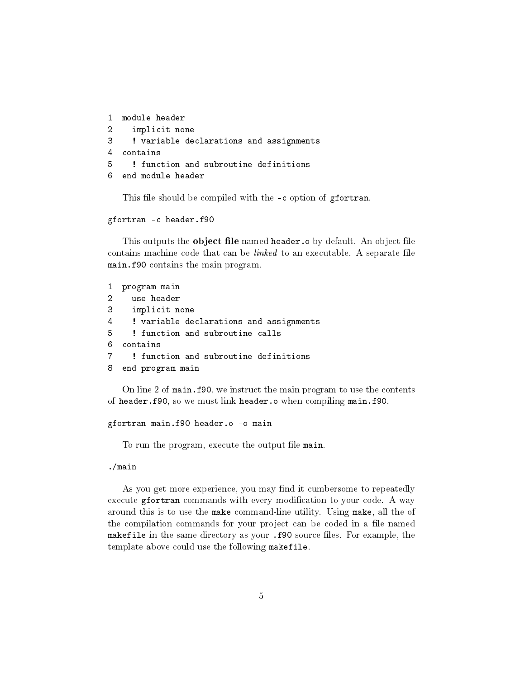```
1 module header
2 implicit none
3 ! variable declarations and assignments
4 contains
5 ! function and subroutine definitions
6 end module header
```
This file should be compiled with the -c option of gfortran.

```
gfortran -c header.f90
```
This outputs the **object file** named header.o by default. An object file contains machine code that can be  $linked$  to an executable. A separate file main.f90 contains the main program.

```
1 program main
2 use header
3 implicit none
4 ! variable declarations and assignments
5 ! function and subroutine calls
6 contains
7 ! function and subroutine definitions
8 end program main
```
On line 2 of main.f90, we instruct the main program to use the contents of header.f90, so we must link header.o when compiling main.f90.

```
gfortran main.f90 header.o -o main
```
To run the program, execute the output file main.

#### ./main

As you get more experience, you may find it cumbersome to repeatedly execute gfortran commands with every modification to your code. A way around this is to use the make command-line utility. Using make, all the of the compilation commands for your project can be coded in a file named makefile in the same directory as your .f90 source files. For example, the template above could use the following makefile.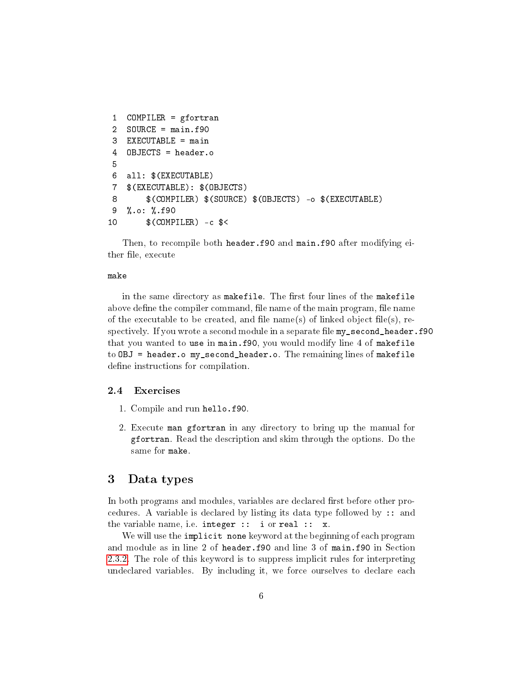```
1 COMPILER = gfortran
2 SOURCE = main.f90
3 EXECUTABLE = main
4 OBJECTS = header.o
5
6 all: $(EXECUTABLE)
7 $(EXECUTABLE): $(OBJECTS)
8 $(COMPILER) $(SOURCE) $(OBJECTS) -o $(EXECUTABLE)
9 %.o: %.f90
10 $(COMPILER) -c $<
```
Then, to recompile both header.f90 and main.f90 after modifying either file, execute

#### make

in the same directory as makefile. The first four lines of the makefile above define the compiler command, file name of the main program, file name of the executable to be created, and file name(s) of linked object file(s), respectively. If you wrote a second module in a separate file my\_second\_header.f90 that you wanted to use in main.f90, you would modify line 4 of makefile to OBJ = header.o my\_second\_header.o. The remaining lines of makefile define instructions for compilation.

#### <span id="page-5-0"></span>2.4 Exercises

- 1. Compile and run hello.f90.
- 2. Execute man gfortran in any directory to bring up the manual for gfortran. Read the description and skim through the options. Do the same for make.

## <span id="page-5-1"></span>3 Data types

In both programs and modules, variables are declared first before other procedures. A variable is declared by listing its data type followed by :: and the variable name, i.e. integer :: i or real :: x.

We will use the implicit none keyword at the beginning of each program and module as in line 2 of header.f90 and line 3 of main.f90 in Section [2.3.2.](#page-3-2) The role of this keyword is to suppress implicit rules for interpreting undeclared variables. By including it, we force ourselves to declare each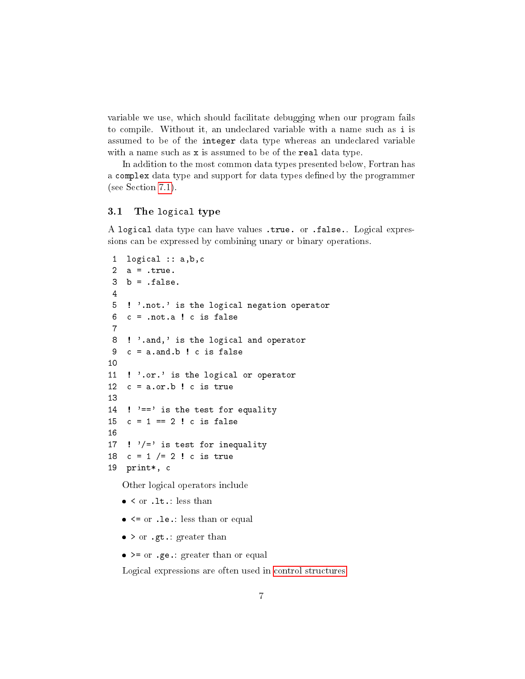variable we use, which should facilitate debugging when our program fails to compile. Without it, an undeclared variable with a name such as i is assumed to be of the integer data type whereas an undeclared variable with a name such as x is assumed to be of the real data type.

In addition to the most common data types presented below, Fortran has a complex data type and support for data types defined by the programmer (see Section [7.1\)](#page-34-1).

## <span id="page-6-0"></span>3.1 The logical type

A logical data type can have values .true. or .false.. Logical expressions can be expressed by combining unary or binary operations.

```
1 logical :: a,b,c
 2 a = .true.
 3 b = false.4
 5 ! '.not.' is the logical negation operator
 6 \quad c = \text{not.a} ! c \text{ is false}7
 8 ! '.and,' is the logical and operator
 9 c = a.and.b ! c is false
10
11 ! '.or.' is the logical or operator
12 c = a \cdot or \cdot b ! c is true
13
14 ! '==' is the test for equality
15 c = 1 == 2 ! c is false
16
17 ! \prime /=' is test for inequality
18 c = 1 /= 2 ! c is true
19 print*, c
```
Other logical operators include

- $\bullet$  < or .1t.: less than
- $\bullet$   $\leq$  or .le.: less than or equal
- $>$  or .gt.: greater than
- >= or .ge.: greater than or equal

Logical expressions are often used in [control structures.](#page-13-0)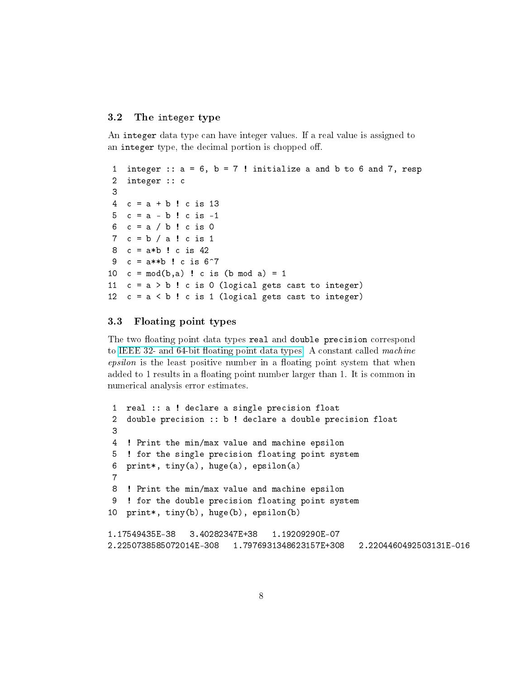### <span id="page-7-0"></span>3.2 The integer type

An integer data type can have integer values. If a real value is assigned to an integer type, the decimal portion is chopped off.

```
1 integer :: a = 6, b = 7! initialize a and b to 6 and 7, resp
 2 integer :: c
 3
 4 c = a + b ! c is 135 \quad c = a - b ! c is -16 c = a / b ! c is 0
 7 c = b / a ! c is 18 c = a*b ! c is 42
9 c = a**b ! c is 6^{\circ}710 c = mod(b, a) ! c is (b mod a) = 111 c = a > b ! c is 0 (logical gets cast to integer)
12 c = a < b ! c is 1 (logical gets cast to integer)
```
## <span id="page-7-1"></span>3.3 Floating point types

The two floating point data types real and double precision correspond to IEEE 32- and 64-bit floating point data types. A constant called *machine*  $epsilon$  is the least positive number in a floating point system that when added to 1 results in a floating point number larger than 1. It is common in numerical analysis error estimates.

```
1 real :: a ! declare a single precision float
2 double precision :: b ! declare a double precision float
3
4 ! Print the min/max value and machine epsilon
5 ! for the single precision floating point system
6 print*, tiny(a), huge(a), epsilon(a)
7
8 ! Print the min/max value and machine epsilon
9 ! for the double precision floating point system
10 print*, tiny(b), huge(b), epsilon(b)
1.17549435E-38 3.40282347E+38 1.19209290E-07
2.2250738585072014E-308 1.7976931348623157E+308 2.2204460492503131E-016
```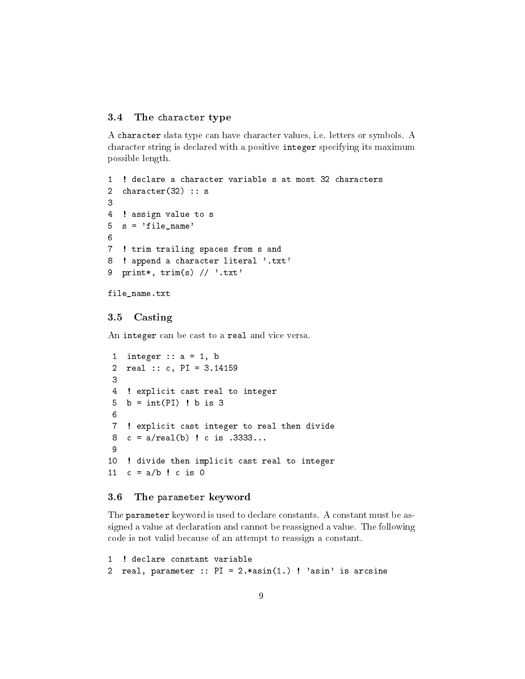#### <span id="page-8-0"></span>3.4 The character type

A character data type can have character values, i.e. letters or symbols. A character string is declared with a positive integer specifying its maximum possible length.

```
1 ! declare a character variable s at most 32 characters
2 character(32) :: s
3
4 ! assign value to s
5 \text{ s} = 'file_name'6
7 ! trim trailing spaces from s and
8 ! append a character literal '.txt'
9 print*, trim(s) // '.txt'
file_name.txt
```
## <span id="page-8-1"></span>3.5 Casting

An integer can be cast to a real and vice versa.

```
1 integer : a = 1, b2 real :: c, PI = 3.14159
 3
 4 ! explicit cast real to integer
 5 b = int(PI) ! b is 36
 7 ! explicit cast integer to real then divide
 8 c = a/real(b) ! c is .3333...
 9
10 ! divide then implicit cast real to integer
11 c = a/b ! c is 0
```
#### <span id="page-8-2"></span>3.6 The parameter keyword

The parameter keyword is used to declare constants. A constant must be assigned a value at declaration and cannot be reassigned a value. The following code is not valid because of an attempt to reassign a constant.

```
1 ! declare constant variable
2 real, parameter :: PI = 2.*asin(1.) ! 'asin' is arcsine
```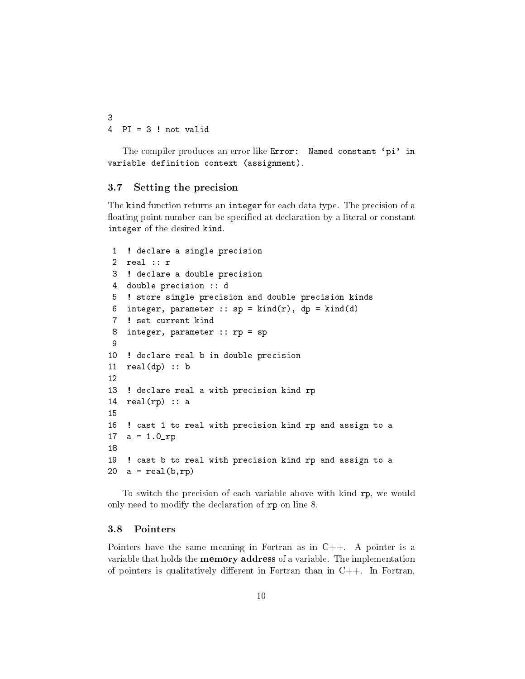3 4 PI = 3 ! not valid

The compiler produces an error like Error: Named constant 'pi' in variable definition context (assignment).

#### <span id="page-9-0"></span>3.7 Setting the precision

The kind function returns an integer for each data type. The precision of a floating point number can be specified at declaration by a literal or constant integer of the desired kind.

```
1 ! declare a single precision
 2 real :: r
 3 ! declare a double precision
 4 double precision :: d
 5 ! store single precision and double precision kinds
 6 integer, parameter :: sp = kind(r), dp = kind(d)7 ! set current kind
 8 integer, parameter :: rp = sp
 9
10 ! declare real b in double precision
11 real(dp) :: b12
13 ! declare real a with precision kind rp
14 real(np) :: a
15
16 ! cast 1 to real with precision kind rp and assign to a
17 a = 1.0_rp
18
19 ! cast b to real with precision kind rp and assign to a
20 a = real(b, rp)
```
To switch the precision of each variable above with kind rp, we would only need to modify the declaration of rp on line 8.

## <span id="page-9-1"></span>3.8 Pointers

Pointers have the same meaning in Fortran as in  $C++$ . A pointer is a variable that holds the memory address of a variable. The implementation of pointers is qualitatively different in Fortran than in  $C++$ . In Fortran,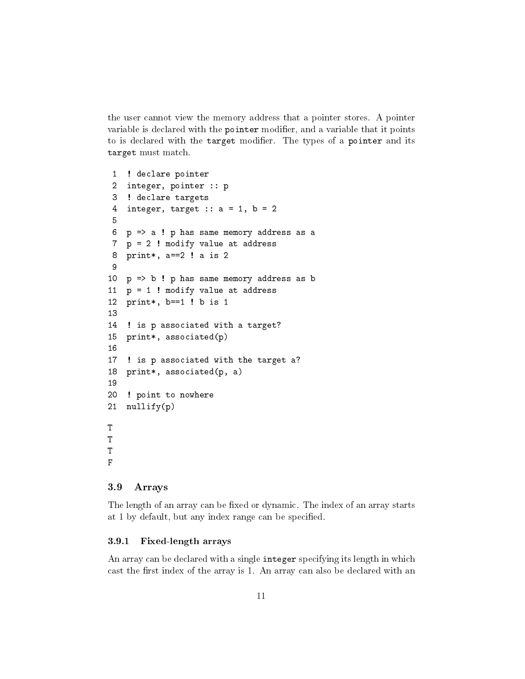the user cannot view the memory address that a pointer stores. A pointer variable is declared with the pointer modifier, and a variable that it points to is declared with the target modifier. The types of a pointer and its target must match.

```
1 ! declare pointer
 2 integer, pointer :: p
 3 ! declare targets
 4 integer, target :: a = 1, b = 25
 6 p => a ! p has same memory address as a
 7 p = 2 ! modify value at address
 8 print*, a==2 ! a is 2
 9
10 p => b ! p has same memory address as b
11 p = 1 ! modify value at address
12 print*, b==1 ! b is 1
13
14 ! is p associated with a target?
15 print*, associated(p)
16
17 ! is p associated with the target a?
18 print*, associated(p, a)
19
20 ! point to nowhere
21 nullify(p)
T
T
T
F
```
## <span id="page-10-0"></span>3.9 Arrays

The length of an array can be fixed or dynamic. The index of an array starts at 1 by default, but any index range can be specified.

## <span id="page-10-1"></span>3.9.1 Fixed-length arrays

An array can be declared with a single integer specifying its length in which cast the first index of the array is 1. An array can also be declared with an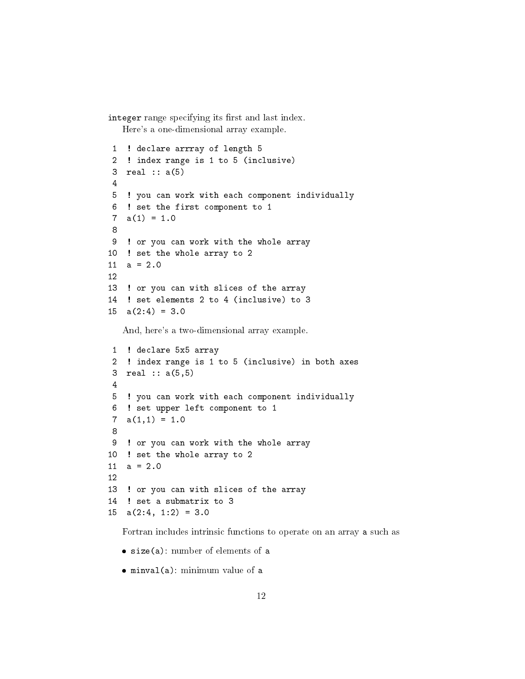integer range specifying its first and last index. Here's a one-dimensional array example.

```
1 ! declare arrray of length 5
 2 ! index range is 1 to 5 (inclusive)
 3 real :: a(5)
 4
 5 ! you can work with each component individually
 6 ! set the first component to 1
 7 \quad a(1) = 1.08
9 ! or you can work with the whole array
10 ! set the whole array to 2
11 a = 2.012
13 ! or you can with slices of the array
14 ! set elements 2 to 4 (inclusive) to 3
15 \text{ a}(2:4) = 3.0
```
And, here's a two-dimensional array example.

```
1 ! declare 5x5 array
 2 ! index range is 1 to 5 (inclusive) in both axes
 3 real :: a(5,5)
 4
 5 ! you can work with each component individually
 6 ! set upper left component to 1
 7 a(1,1) = 1.08
9 ! or you can work with the whole array
10 ! set the whole array to 2
11 a = 2.012
13 ! or you can with slices of the array
14 ! set a submatrix to 3
15 a(2:4, 1:2) = 3.0
```
Fortran includes intrinsic functions to operate on an array a such as

- size(a): number of elements of a
- minval(a): minimum value of a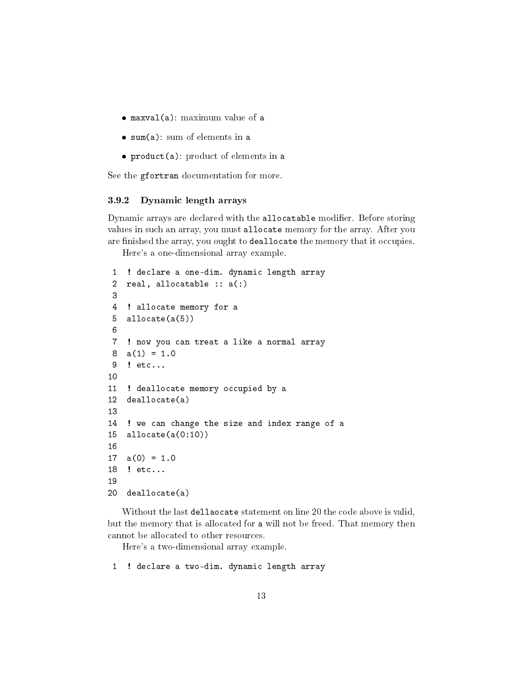- maxval(a): maximum value of a
- sum(a): sum of elements in a
- product(a): product of elements in a

See the gfortran documentation for more.

#### <span id="page-12-0"></span>3.9.2 Dynamic length arrays

Dynamic arrays are declared with the allocatable modifier. Before storing values in such an array, you must allocate memory for the array. After you are finished the array, you ought to deallocate the memory that it occupies.

Here's a one-dimensional array example.

```
1 ! declare a one-dim. dynamic length array
 2 real, allocatable :: a(:)
 3
 4 ! allocate memory for a
 5 allocate(a(5))
 6
 7 ! now you can treat a like a normal array
 8 a(1) = 1.09 ! etc...
10
11 ! deallocate memory occupied by a
12 deallocate(a)
13
14 ! we can change the size and index range of a
15 allocate(a(0:10))
16
17 \quad a(0) = 1.018 ! etc...
19
20 deallocate(a)
```
Without the last dellaocate statement on line 20 the code above is valid, but the memory that is allocated for a will not be freed. That memory then cannot be allocated to other resources.

Here's a two-dimensional array example.

1 ! declare a two-dim. dynamic length array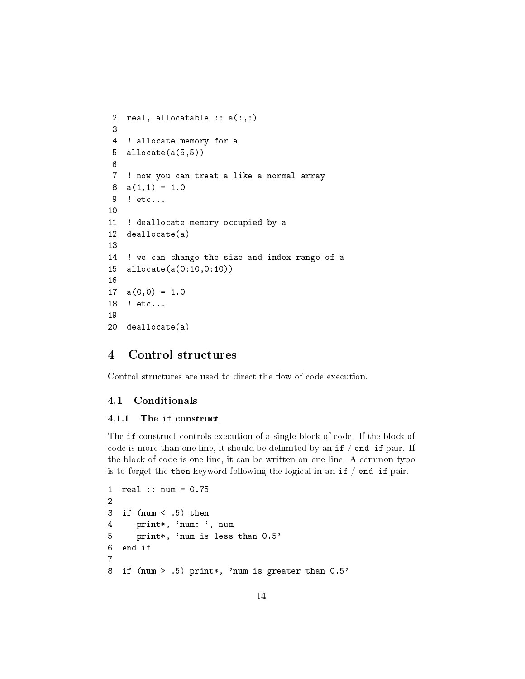```
2 real, allocatable :: a(:,:)
 3
 4 ! allocate memory for a
5 allocate(a(5,5))
 6
 7 ! now you can treat a like a normal array
 8 a(1,1) = 1.09 ! etc...
10
11 ! deallocate memory occupied by a
12 deallocate(a)
13
14 ! we can change the size and index range of a
15 allocate(a(0:10,0:10))
16
17 \quad a(0,0) = 1.018 ! etc...
19
20 deallocate(a)
```
## <span id="page-13-0"></span>4 Control structures

Control structures are used to direct the flow of code execution.

## <span id="page-13-1"></span>4.1 Conditionals

#### <span id="page-13-2"></span>4.1.1 The if construct

The if construct controls execution of a single block of code. If the block of code is more than one line, it should be delimited by an  $if / end if pair.$  If the block of code is one line, it can be written on one line. A common typo is to forget the then keyword following the logical in an if / end if pair.

```
1 real :: num = 0.75
2
3 if (num < .5) then
4 print*, 'num: ', num
5 print*, 'num is less than 0.5'
6 end if
7
8 if (num > .5) print*, 'num is greater than 0.5'
```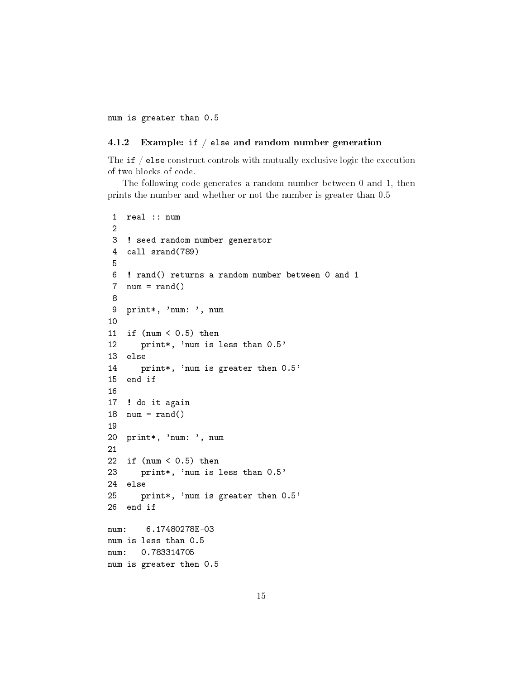num is greater than 0.5

#### <span id="page-14-0"></span>4.1.2 Example: if / else and random number generation

The  $if / else$  construct controls with mutually exclusive logic the execution of two blocks of code.

The following code generates a random number between 0 and 1, then prints the number and whether or not the number is greater than 0.5

```
1 real :: num
 2
 3 ! seed random number generator
 4 call srand(789)
 5
 6 ! rand() returns a random number between 0 and 1
 7 num = rand()8
9 print*, 'num: ', num
10
11 if (num < 0.5) then
12 print*, 'num is less than 0.5'
13 else
14 print*, 'num is greater then 0.5'
15 end if
16
17 ! do it again
18 num = rand()19
20 print*, 'num: ', num
21
22 if (num < 0.5) then
23 print*, 'num is less than 0.5'
24 else
25 print*, 'num is greater then 0.5'
26 end if
num: 6.17480278E-03
num is less than 0.5
num: 0.783314705
num is greater then 0.5
```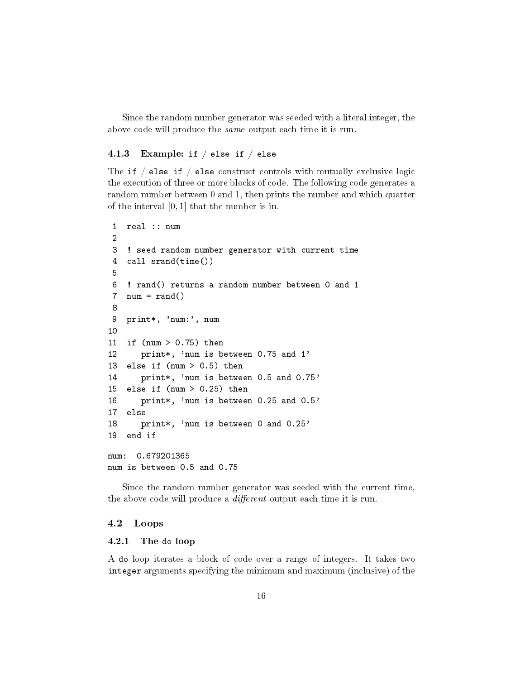Since the random number generator was seeded with a literal integer, the above code will produce the *same* output each time it is run.

## <span id="page-15-0"></span>4.1.3 Example: if  $/$  else if  $/$  else

The if  $/$  else if  $/$  else construct controls with mutually exclusive logic the execution of three or more blocks of code. The following code generates a random number between 0 and 1, then prints the number and which quarter of the interval [0, 1] that the number is in.

```
1 real :: num
 2
 3 ! seed random number generator with current time
 4 call srand(time())
 5
 6 ! rand() returns a random number between 0 and 1
 7 num = rand()8
 9 print*, 'num:', num
10
11 if (num > 0.75) then
12 print*, 'num is between 0.75 and 1'
13 else if (num > 0.5) then
14 print*, 'num is between 0.5 and 0.75'
15 else if (num > 0.25) then
16 print*, 'num is between 0.25 and 0.5'
17 else
18 print*, 'num is between 0 and 0.25'
19 end if
num: 0.679201365
num is between 0.5 and 0.75
```
Since the random number generator was seeded with the current time, the above code will produce a  $differential$  output each time it is run.

#### <span id="page-15-1"></span>4.2 Loops

#### <span id="page-15-2"></span>4.2.1 The do loop

A do loop iterates a block of code over a range of integers. It takes two integer arguments specifying the minimum and maximum (inclusive) of the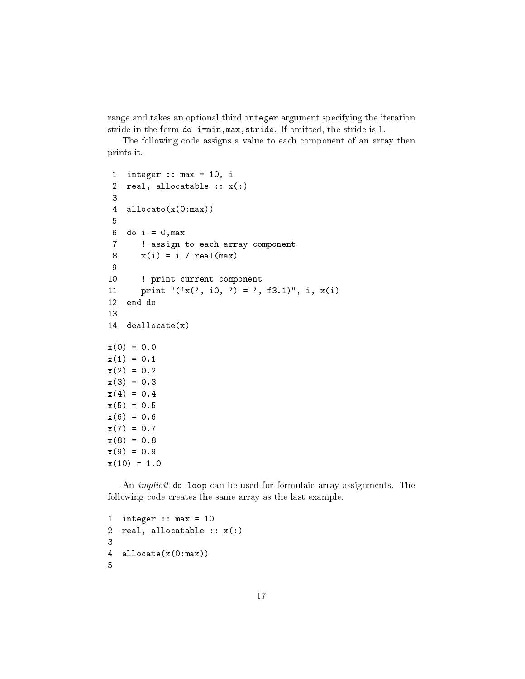range and takes an optional third integer argument specifying the iteration stride in the form do i=min,max,stride. If omitted, the stride is 1.

The following code assigns a value to each component of an array then prints it.

```
1 integer :: max = 10, i
 2 real, allocatable :: x(:)
 3
4 allocate(x(0:max))
5
 6 do i = 0, max7 ! assign to each array component
 8 \times (i) = i / \text{real(max)}9
10 ! print current component
11 print "('x(', i0, ') = ', f3.1)", i, x(i)12 end do
13
14 deallocate(x)
x(0) = 0.0x(1) = 0.1x(2) = 0.2x(3) = 0.3x(4) = 0.4x(5) = 0.5x(6) = 0.6x(7) = 0.7x(8) = 0.8x(9) = 0.9x(10) = 1.0
```
An implicit do loop can be used for formulaic array assignments. The following code creates the same array as the last example.

```
1 integer :: max = 102 real, allocatable :: x(:)3
4 allocate(x(0:max))
5
```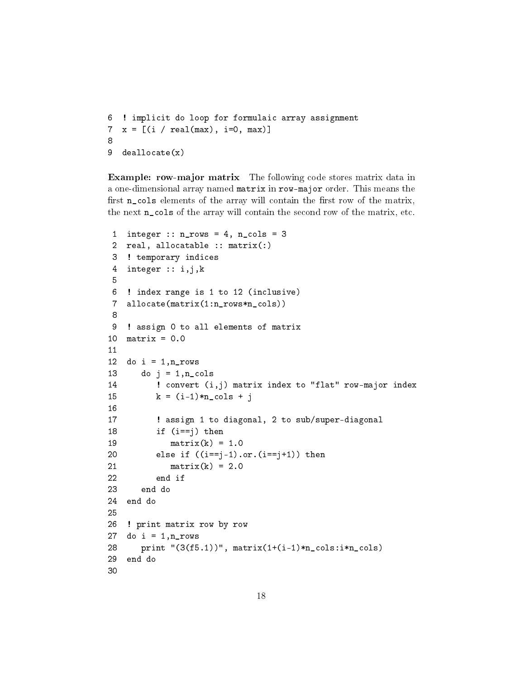```
6 ! implicit do loop for formulaic array assignment
7 x = [(i / real(max), i=0, max)]8
9 deallocate(x)
```
Example: row-major matrix The following code stores matrix data in a one-dimensional array named matrix in row-major order. This means the first  $n_{\text{cols}}$  elements of the array will contain the first row of the matrix, the next n\_cols of the array will contain the second row of the matrix, etc.

```
1 integer :: n_{rows} = 4, n_{cols} = 32 real, allocatable :: matrix(:)
 3 ! temporary indices
 4 integer :: i,j,k
 5
 6 ! index range is 1 to 12 (inclusive)
 7 allocate(matrix(1:n_rows*n_cols))
8
9 ! assign 0 to all elements of matrix
10 matrix = 0.011
12 do i = 1, n_rows
13 do j = 1, n_{\text{cols}}14 ! convert (i,j) matrix index to "flat" row-major index
15 k = (i-1)*n\_cols + j16
17 ! assign 1 to diagonal, 2 to sub/super-diagonal
18 if (i==j) then
19 matrix(k) = 1.020 else if ((i == j - 1) . or . (i == j + 1)) then
21 matrix(k) = 2.0
22 end if
23 end do
24 end do
25
26 ! print matrix row by row
27 do i = 1, n_rows
28 print "(3(f5.1))", matrix(1+(i-1)*n_cols:i*n_cols)
29 end do
30
```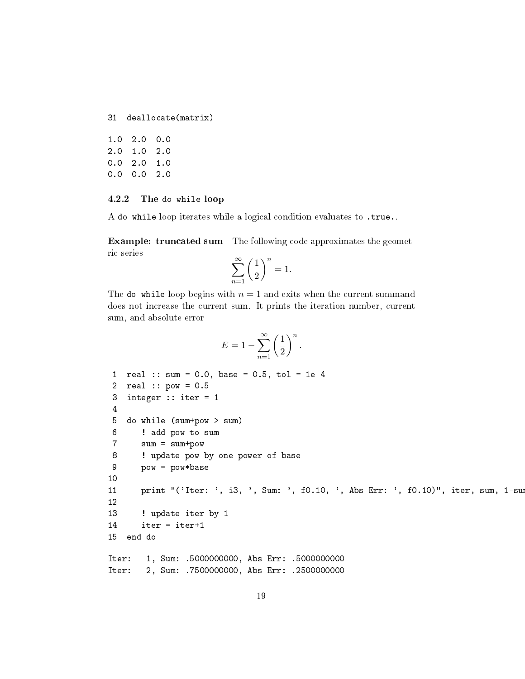```
31 deallocate(matrix)
```
1.0 2.0 0.0 2.0 1.0 2.0 0.0 2.0 1.0 0.0 0.0 2.0

#### <span id="page-18-0"></span>4.2.2 The do while loop

A do while loop iterates while a logical condition evaluates to .true..

Example: truncated sum The following code approximates the geometric series

$$
\sum_{n=1}^{\infty} \left(\frac{1}{2}\right)^n = 1.
$$

The do while loop begins with  $n = 1$  and exits when the current summand does not increase the current sum. It prints the iteration number, current sum, and absolute error

$$
E = 1 - \sum_{n=1}^{\infty} \left(\frac{1}{2}\right)^n.
$$

```
1 real :: sum = 0.0, base = 0.5, tol = 1e-4
2 real :: pow = 0.5
3 integer :: iter = 1
4
5 do while (sum+pow > sum)
6 ! add pow to sum
7 sum = sum+pow
8 ! update pow by one power of base
9 pow = pow*base
10
11 print "('Iter: ', i3, ', Sum: ', f0.10, ', Abs Err: ', f0.10)", iter, sum, 1-su
12
13 ! update iter by 1
14 iter = iter+1
15 end do
Iter: 1, Sum: .5000000000, Abs Err: .5000000000
```
Iter: 2, Sum: .7500000000, Abs Err: .2500000000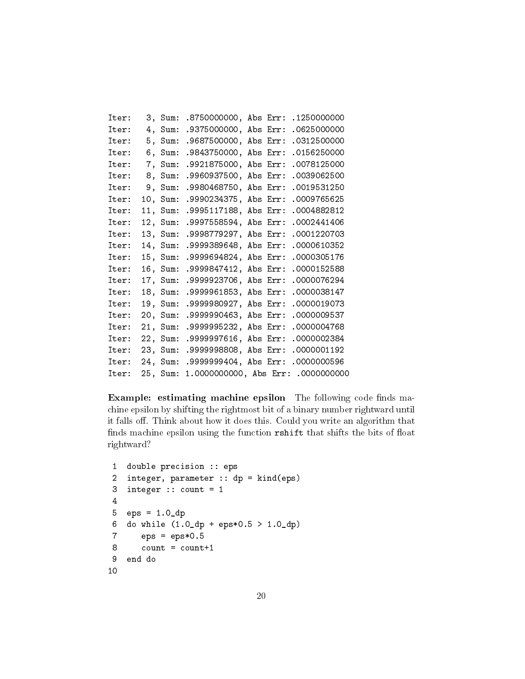| Iter: | З,  | Sum: | .8750000000,           | Abs Err: | .1250000000 |
|-------|-----|------|------------------------|----------|-------------|
| Iter: | 4,  | Sum: | .9375000000,           | Abs Err: | .0625000000 |
| Iter: | 5.  | Sum: | .9687500000,           | Abs Err: | .0312500000 |
| Iter: | 6.  | Sum: | .9843750000,           | Abs Err: | .0156250000 |
| Iter: | 7.  | Sum: | .9921875000,           | Abs Err: | .0078125000 |
| Iter: | 8,  | Sum: | .9960937500,           | Abs Err: | .0039062500 |
| Iter: | 9.  | Sum: | .9980468750,           | Abs Err: | .0019531250 |
| Iter: | 10. | Sum: | .9990234375,           | Abs Err: | .0009765625 |
| Iter: | 11. | Sum: | .9995117188,           | Abs Err: | .0004882812 |
| Iter: | 12. | Sum: | .9997558594,           | Abs Err: | .0002441406 |
| Iter: | 13. | Sum: | .9998779297,           | Abs Err: | .0001220703 |
| Iter: | 14, | Sum: | .9999389648,           | Abs Err: | .0000610352 |
| Iter: | 15, | Sum: | .9999694824,           | Abs Err: | .0000305176 |
| Iter: | 16, | Sum: | .9999847412,           | Abs Err: | .0000152588 |
| Iter: | 17, | Sum: | .9999923706,           | Abs Err: | .0000076294 |
| Iter: | 18, | Sum: | .9999961853,           | Abs Err: | .0000038147 |
| Iter: | 19. | Sum: | .9999980927,           | Abs Err: | .0000019073 |
| Iter: | 20, | Sum: | .9999990463,           | Abs Err: | .0000009537 |
| Iter: | 21. | Sum: | .9999995232.           | Abs Err: | .0000004768 |
| Iter: | 22, | Sum: | .9999997616,           | Abs Err: | .0000002384 |
| Iter: | 23、 | Sum: | .9999998808,           | Abs Err: | .0000001192 |
| Iter: | 24. | Sum: | .9999999404,           | Abs Err: | .0000000596 |
| Iter: | 25, | Sum: | 1.0000000000, Abs Err: |          | .000000000  |

Example: estimating machine epsilon The following code finds machine epsilon by shifting the rightmost bit of a binary number rightward until it falls off. Think about how it does this. Could you write an algorithm that finds machine epsilon using the function rshift that shifts the bits of float rightward?

```
1 double precision :: eps
2 integer, parameter :: dp = kind(eps)
3 integer :: count = 1
4
5 eps = 1.0_dp
6 do while (1.0_dp + eps*0.5 > 1.0_dp)
7 eps = eps*0.58 count = count+1
9 end do
10
```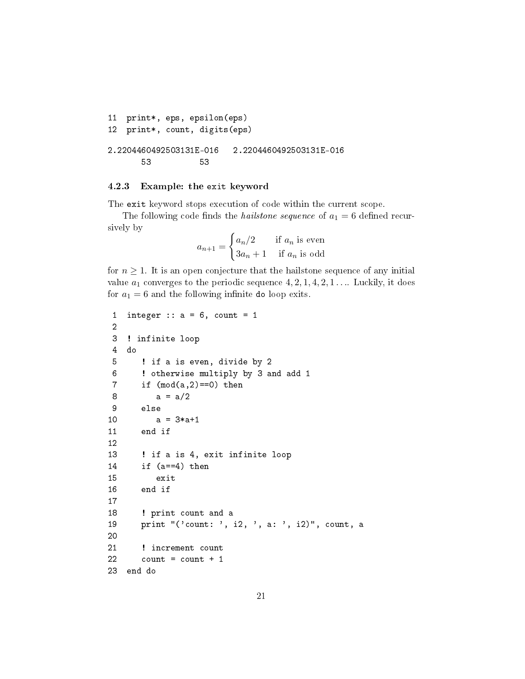```
11 print*, eps, epsilon(eps)
12 print*, count, digits(eps)
2.2204460492503131E-016 2.2204460492503131E-016
      53 53
```
#### <span id="page-20-0"></span>4.2.3 Example: the exit keyword

The exit keyword stops execution of code within the current scope.

The following code finds the *hailstone sequence* of  $a_1 = 6$  defined recursively by

$$
a_{n+1} = \begin{cases} a_n/2 & \text{if } a_n \text{ is even} \\ 3a_n + 1 & \text{if } a_n \text{ is odd} \end{cases}
$$

for  $n \geq 1$ . It is an open conjecture that the hailstone sequence of any initial value  $a_1$  converges to the periodic sequence  $4, 2, 1, 4, 2, 1 \ldots$  Luckily, it does for  $a_1 = 6$  and the following infinite do loop exits.

```
1 integer :: a = 6, count = 1
2
3 ! infinite loop
4 do
5 ! if a is even, divide by 2
6 ! otherwise multiply by 3 and add 1
7 if (mod(a,2)=0) then
8 a = a/29 else
10 a = 3 * a + 111 end if
12
13 ! if a is 4, exit infinite loop
14 if (a==4) then
15 exit
16 end if
17
18 ! print count and a
19 print "('count: ', i2, ', a: ', i2)", count, a
20
21 ! increment count
22 count = count + 1
23 end do
```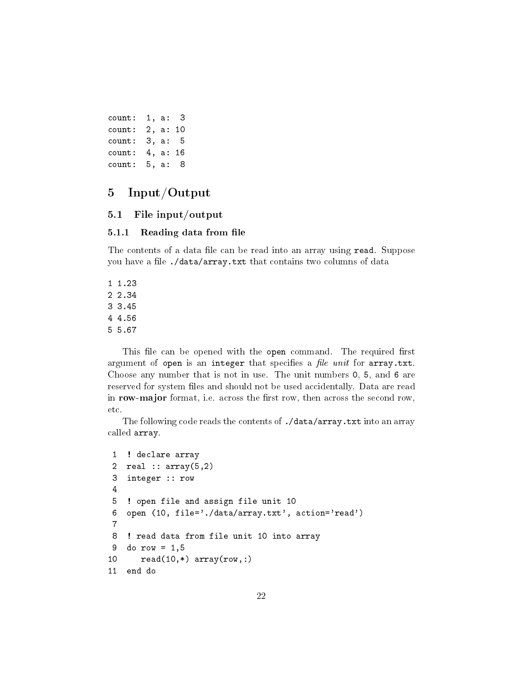```
count: 1, a: 3
count: 2, a: 10
count: 3, a: 5
count: 4, a: 16
count: 5, a: 8
```
# <span id="page-21-0"></span>5 Input/Output

## <span id="page-21-1"></span>5.1 File input/output

#### <span id="page-21-2"></span>5.1.1 Reading data from file

The contents of a data file can be read into an array using read. Suppose you have a file ./data/array.txt that contains two columns of data

1 1.23 2 2.34 3 3.45 4 4.56 5 5.67

This file can be opened with the open command. The required first argument of open is an integer that specifies a *file unit* for  $array.txt$ . Choose any number that is not in use. The unit numbers 0, 5, and 6 are reserved for system files and should not be used accidentally. Data are read in row-major format, i.e. across the first row, then across the second row, etc.

The following code reads the contents of ./data/array.txt into an array called array.

```
1 ! declare array
2 real :: array(5,2)
3 integer :: row
4
5 ! open file and assign file unit 10
6 open (10, file='./data/array.txt', action='read')
7
8 ! read data from file unit 10 into array
9 do row = 1,5
10 read(10,*) array(row,:)
11 end do
```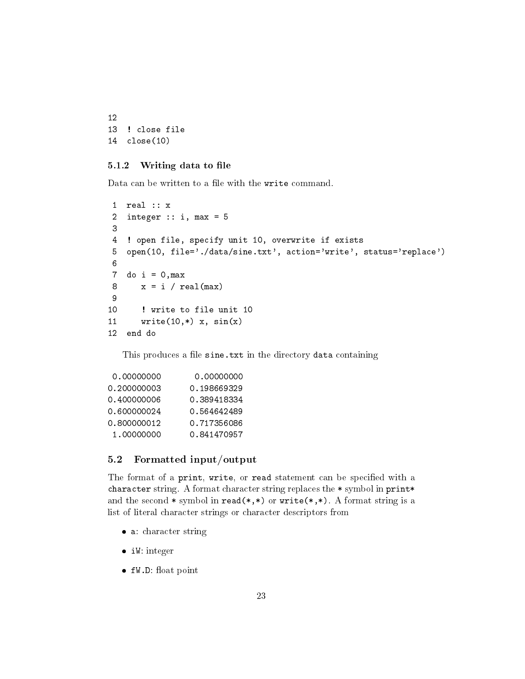```
12
13 ! close file
14 close(10)
```
### <span id="page-22-0"></span>5.1.2 Writing data to file

Data can be written to a file with the write command.

```
1 real :: x
2 integer :: i, max = 53
4 ! open file, specify unit 10, overwrite if exists
5 open(10, file='./data/sine.txt', action='write', status='replace')
6
7 do i = 0, max8 x = i / \text{real(max)}9
10 ! write to file unit 10
11 write(10,*) x, sin(x)12 end do
```
This produces a file sine.txt in the directory data containing

| 0,00000000  | 0.00000000  |
|-------------|-------------|
| 0.200000003 | 0.198669329 |
| 0.400000006 | 0.389418334 |
| 0.600000024 | 0.564642489 |
| 0.800000012 | 0.717356086 |
| 1.00000000  | 0.841470957 |
|             |             |

## <span id="page-22-1"></span>5.2 Formatted input/output

The format of a print, write, or read statement can be specified with a character string. A format character string replaces the \* symbol in print\* and the second  $*$  symbol in read( $*, *$ ) or write( $*, *$ ). A format string is a list of literal character strings or character descriptors from

- a: character string
- iW: integer
- $\bullet$  fW.D: float point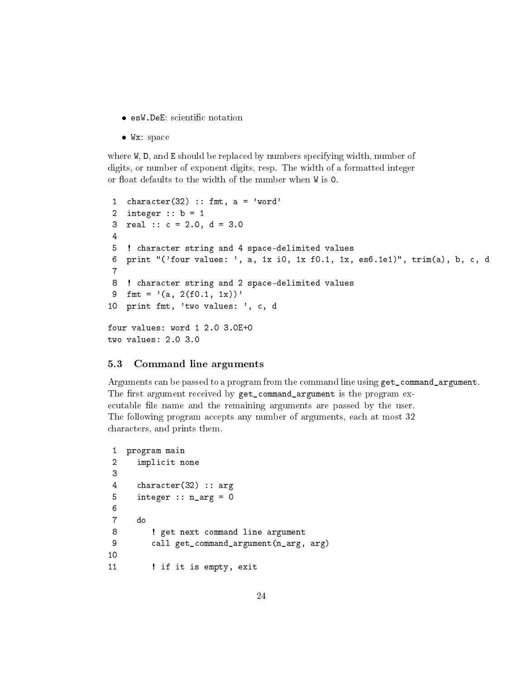- esW.DeE: scientific notation
- Wx: space

where W, D, and E should be replaced by numbers specifying width, number of digits, or number of exponent digits, resp. The width of a formatted integer or float defaults to the width of the number when  $W$  is  $O$ .

```
1 character(32) :: fmt, a = 'word'2 integer : b = 13 real :: c = 2.0, d = 3.0
 4
 5 ! character string and 4 space-delimited values
 6 print "('four values: ', a, 1x i0, 1x f0.1, 1x, es6.1e1)", trim(a), b, c, d
 7
 8 ! character string and 2 space-delimited values
 9 fmt = '(a, 2(f0.1, 1x))10 print fmt, 'two values: ', c, d
four values: word 1 2.0 3.0E+0
two values: 2.0 3.0
```
#### <span id="page-23-0"></span>5.3 Command line arguments

Arguments can be passed to a program from the command line using get\_command\_argument. The first argument received by get\_command\_argument is the program executable file name and the remaining arguments are passed by the user. The following program accepts any number of arguments, each at most 32 characters, and prints them.

```
1 program main
2 implicit none
3
4 character(32) :: arg
5 integer :: n_{\text{arg}} = 06
7 do
8 ! get next command line argument
9 call get_command_argument(n_arg, arg)
10
11 ! if it is empty, exit
```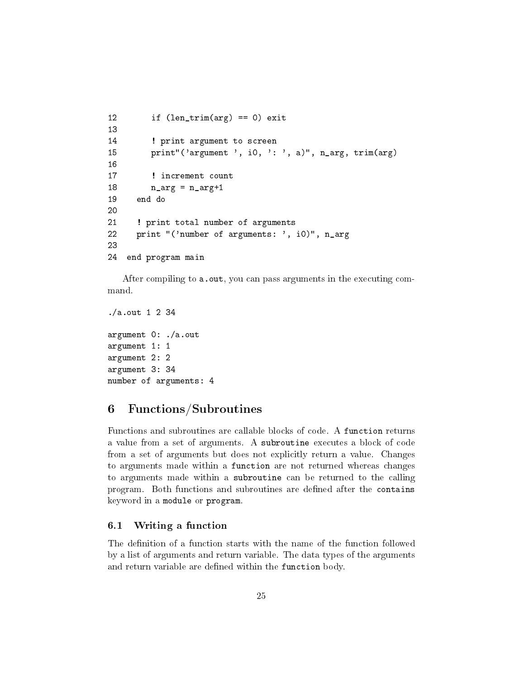```
12 if (len_trim(arg) == 0) exit
13
14 ! print argument to screen
15 print"('argument ', i0, ': ', a)", n_arg, trim(arg)
16
17 : increment count
18 n_{\text{arg}} = n_{\text{arg}} + 119 end do
20
21 ! print total number of arguments
22 print "('number of arguments: ', i0)", n_arg
23
24 end program main
```
After compiling to a.out, you can pass arguments in the executing command.

```
./a.out 1 2 34
argument 0: ./a.out
argument 1: 1
argument 2: 2
argument 3: 34
number of arguments: 4
```
## <span id="page-24-0"></span>6 Functions/Subroutines

Functions and subroutines are callable blocks of code. A function returns a value from a set of arguments. A subroutine executes a block of code from a set of arguments but does not explicitly return a value. Changes to arguments made within a function are not returned whereas changes to arguments made within a subroutine can be returned to the calling program. Both functions and subroutines are dened after the contains keyword in a module or program.

#### <span id="page-24-1"></span>6.1 Writing a function

The definition of a function starts with the name of the function followed by a list of arguments and return variable. The data types of the arguments and return variable are defined within the function body.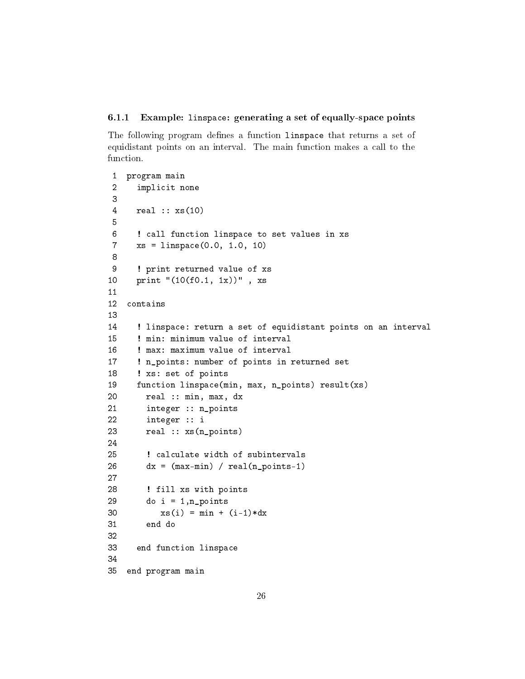#### <span id="page-25-0"></span>6.1.1 Example: linspace: generating a set of equally-space points

The following program defines a function linspace that returns a set of equidistant points on an interval. The main function makes a call to the function.

```
1 program main
2 implicit none
3
4 real :: xs(10)
5
6 ! call function linspace to set values in xs
7 xs = linspace(0.0, 1.0, 10)
8
9 ! print returned value of xs
10 print "(10(f0.1, 1x))" , xs
11
12 contains
13
14 ! linspace: return a set of equidistant points on an interval
15 ! min: minimum value of interval
16 ! max: maximum value of interval
17 ! n_points: number of points in returned set
18 ! xs: set of points
19 function linspace(min, max, n_points) result(xs)
20 real :: min, max, dx
21 integer :: n_points
22 integer :: i
23 real :: xs(n_points)
24
25 ! calculate width of subintervals
26 dx = (max-min) / real(n\_points-1)27
28 ! fill xs with points
29 do i = 1, n_points
30 xs(i) = min + (i-1)*dx31 end do
32
33 end function linspace
34
35 end program main
```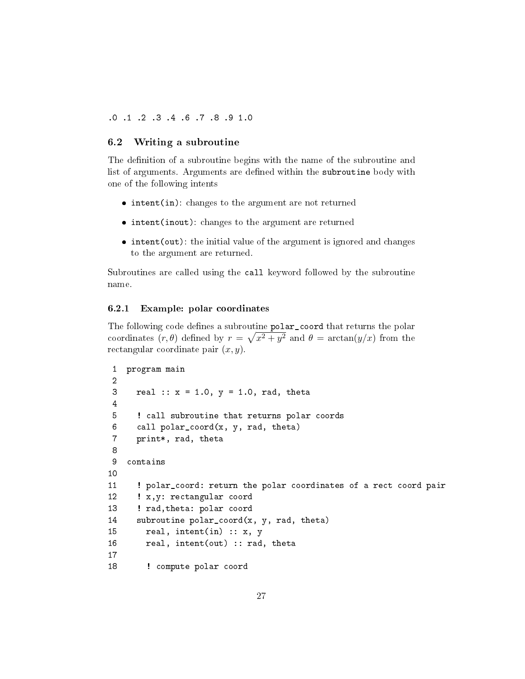.0 .1 .2 .3 .4 .6 .7 .8 .9 1.0

## <span id="page-26-0"></span>6.2 Writing a subroutine

The definition of a subroutine begins with the name of the subroutine and list of arguments. Arguments are defined within the subroutine body with one of the following intents

- $\bullet$  intent(in): changes to the argument are not returned
- intent(inout): changes to the argument are returned
- $\bullet$  intent(out): the initial value of the argument is ignored and changes to the argument are returned.

Subroutines are called using the call keyword followed by the subroutine name.

### <span id="page-26-1"></span>6.2.1 Example: polar coordinates

The following code defines a subroutine polar\_coord that returns the polar coordinates  $(r, \theta)$  defined by  $r = \sqrt{x^2 + y^2}$  and  $\theta = \arctan(y/x)$  from the rectangular coordinate pair  $(x, y)$ .

```
1 program main
2
3 real :: x = 1.0, y = 1.0, rad, theta
4
5 ! call subroutine that returns polar coords
6 call polar_coord(x, y, rad, theta)
7 print*, rad, theta
8
9 contains
10
11 ! polar_coord: return the polar coordinates of a rect coord pair
12 : x,y: rectangular coord
13 ! rad,theta: polar coord
14 subroutine polar coord(x, y, rad, theta)
15 real, intent(in) :: x, y
16 real, intent(out) :: rad, theta
17
18 : compute polar coord
```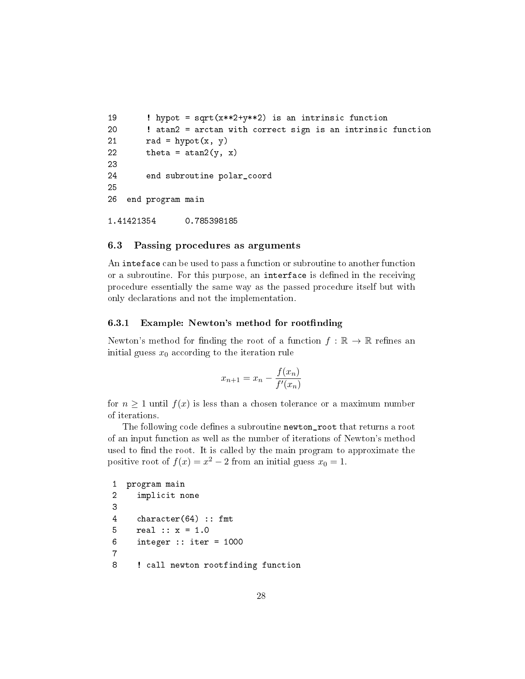```
19 ! hypot = sqrt(x**2+y**2) is an intrinsic function
20 ! atan2 = arctan with correct sign is an intrinsic function
21 rad = hypot(x, y)22 theta = atan2(y, x)23
24 end subroutine polar_coord
25
26 end program main
1.41421354 0.785398185
```
#### <span id="page-27-0"></span>6.3 Passing procedures as arguments

An inteface can be used to pass a function or subroutine to another function or a subroutine. For this purpose, an interface is dened in the receiving procedure essentially the same way as the passed procedure itself but with only declarations and not the implementation.

#### <span id="page-27-1"></span>6.3.1 Example: Newton's method for rootfinding

Newton's method for finding the root of a function  $f : \mathbb{R} \to \mathbb{R}$  refines an initial guess  $x_0$  according to the iteration rule

$$
x_{n+1} = x_n - \frac{f(x_n)}{f'(x_n)}
$$

for  $n \geq 1$  until  $f(x)$  is less than a chosen tolerance or a maximum number of iterations.

The following code defines a subroutine newton\_root that returns a root of an input function as well as the number of iterations of Newton's method used to find the root. It is called by the main program to approximate the positive root of  $f(x) = x^2 - 2$  from an initial guess  $x_0 = 1$ .

```
1 program main
2 implicit none
3
4 character(64) :: fmt
5 real :: x = 1.0
6 integer :: iter = 1000
7
8 ! call newton rootfinding function
```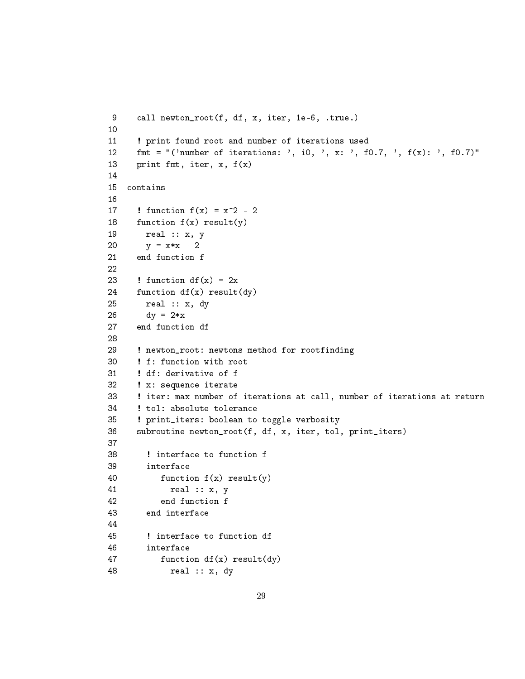```
9 call newton_root(f, df, x, iter, 1e-6, .true.)
10
11 ! print found root and number of iterations used
12 fmt = "('number of iterations: ', i0, ', x: ', f0.7, ', f(x): ', f0.7)"
13 print fmt, iter, x, f(x)
14
15 contains
16
17 ! function f(x) = x^2 - 218 function f(x) result(y)
19 real :: x, y
20 y = x*x - 221 end function f
22
23 ! function df(x) = 2x24 function df(x) result(dy)
25 real :: x, dy
26 dy = 2*x27 end function df
28
29 ! newton_root: newtons method for rootfinding
30 ! f: function with root
31 ! df: derivative of f
32 ! x: sequence iterate
33 ! iter: max number of iterations at call, number of iterations at return
34 ! tol: absolute tolerance
35 ! print_iters: boolean to toggle verbosity
36 subroutine newton_root(f, df, x, iter, tol, print_iters)
37
38 ! interface to function f
39 interface
40 function f(x) result(y)
41 real :: x, y
42 end function f
43 end interface
44
45 ! interface to function df
46 interface
47 function df(x) result(dy)
48 real :: x, dy
```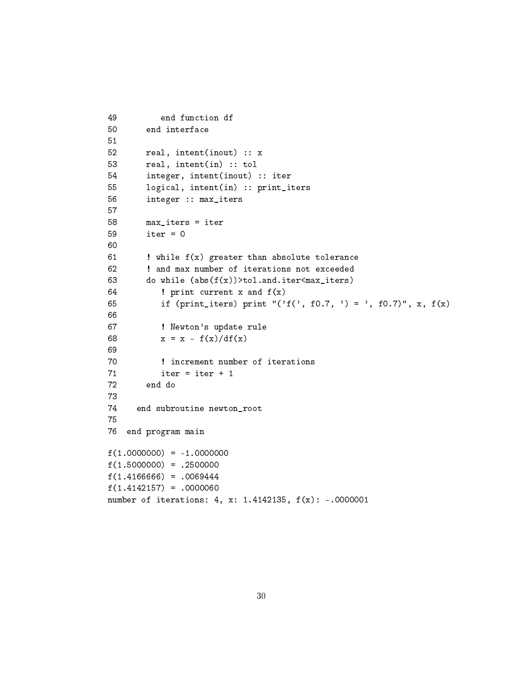```
49 end function df
50 end interface
51
52 real, intent(inout) :: x
53 real, intent(in) :: tol
54 integer, intent(inout) :: iter
55 logical, intent(in) :: print_iters
56 integer :: max_iters
57
58 max_iters = iter
59 iter = 0
60
61 \blacksquare ! while f(x) greater than absolute tolerance
62 ! and max number of iterations not exceeded
63 do while (abs(f(x))>tol.and.iter<max_iters)64 ! print current x and f(x)
65 if (print_iters) print "('f(', f0.7, ') = ', f0.7)", x, f(x)
66
67 ! Newton's update rule
68 x = x - f(x)/df(x)69
70 ! increment number of iterations
71 iter = iter + 1
72 end do
73
74 end subroutine newton_root
75
76 end program main
f(1.0000000) = -1.0000000f(1.5000000) = .2500000f(1.4166666) = .0069444
f(1.4142157) = .0000060number of iterations: 4, x: 1.4142135, f(x): -.0000001
```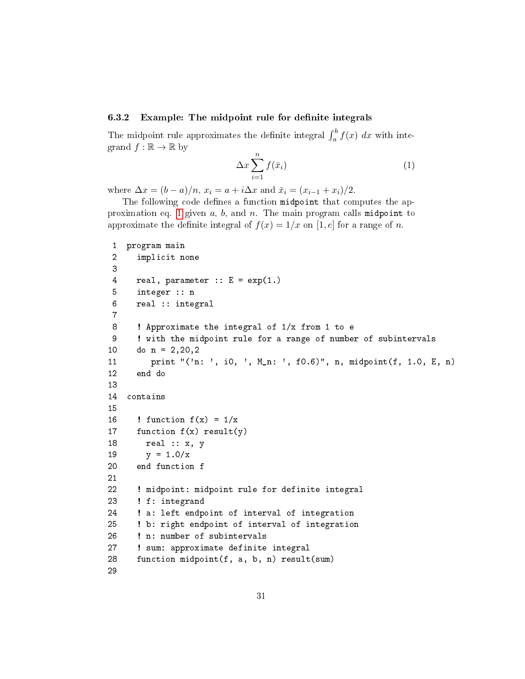## <span id="page-30-0"></span>6.3.2 Example: The midpoint rule for definite integrals

The midpoint rule approximates the definite integral  $\int_a^b f(x) dx$  with integrand  $f : \mathbb{R} \to \mathbb{R}$  by

<span id="page-30-1"></span>
$$
\Delta x \sum_{i=1}^{n} f(\bar{x}_i) \tag{1}
$$

where  $\Delta x = (b - a)/n$ ,  $x_i = a + i\Delta x$  and  $\bar{x}_i = (x_{i-1} + x_i)/2$ .

The following code defines a function midpoint that computes the ap-proximation eq. [1](#page-30-1) given  $a, b$ , and  $n$ . The main program calls midpoint to approximate the definite integral of  $f(x) = 1/x$  on [1, e] for a range of n.

```
1 program main
2 implicit none
3
4 real, parameter :: E = exp(1.)5 integer :: n
6 real :: integral
7
8 ! Approximate the integral of 1/x from 1 to e
9 ! with the midpoint rule for a range of number of subintervals
10 do n = 2, 20, 211 print "('n: ', i0, ', M_n: ', f0.6)", n, midpoint(f, 1.0, E, n)
12 end do
13
14 contains
15
16 ! function f(x) = 1/x17 function f(x) result(y)
18 real :: x, y
19 y = 1.0/x20 end function f
21
22 ! midpoint: midpoint rule for definite integral
23 ! f: integrand
24 ! a: left endpoint of interval of integration
25 ! b: right endpoint of interval of integration
26 ! n: number of subintervals
27 ! sum: approximate definite integral
28 function midpoint(f, a, b, n) result(sum)
29
```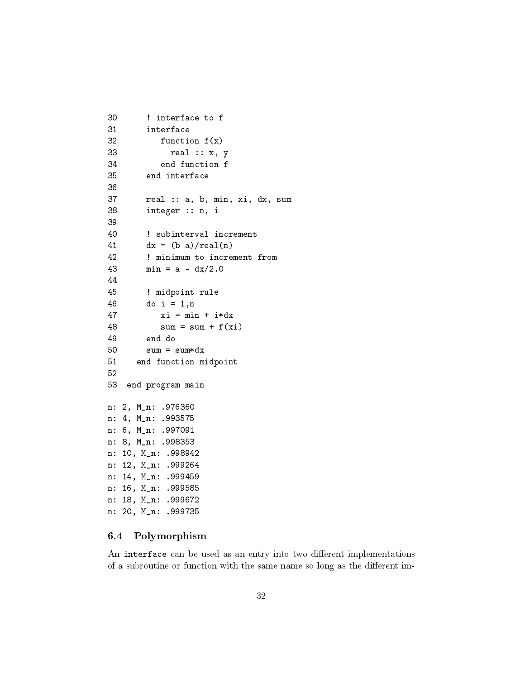```
30 ! interface to f
31 interface
32 function f(x)33 real :: x, y
34 end function f
35 end interface
36
37 real :: a, b, min, xi, dx, sum
38 integer :: n, i
39
40 ! subinterval increment
41 dx = (b-a)/real(n)42 ! minimum to increment from
43 min = a - dx/2.044
45 ! midpoint rule
46 do i = 1,n
47 xi = min + i*dx48 sum = sum + f(xi)49 end do
50 sum = sum *dx51 end function midpoint
52
53 end program main
n: 2, M_n: .976360
n: 4, M_n: .993575
n: 6, M_n: .997091
n: 8, M_n: .998353
n: 10, M_n: .998942
n: 12, M_n: .999264
n: 14, M_n: .999459
n: 16, M_n: .999585
n: 18, M_n: .999672
n: 20, M_n: .999735
```
### <span id="page-31-0"></span>6.4 Polymorphism

An interface can be used as an entry into two different implementations of a subroutine or function with the same name so long as the different im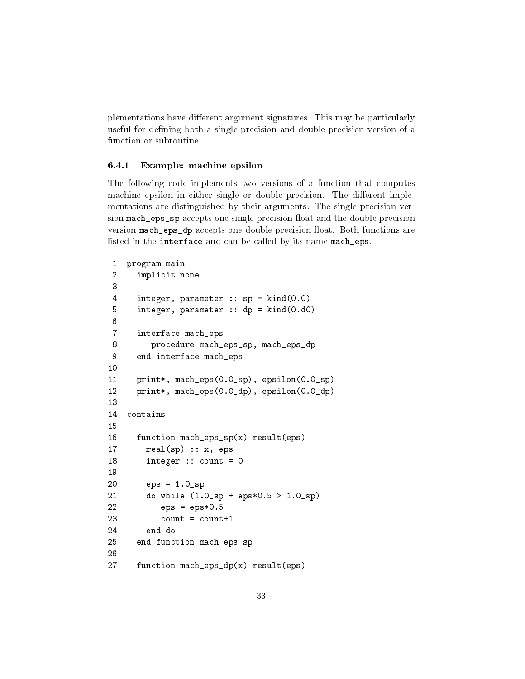plementations have different argument signatures. This may be particularly useful for defining both a single precision and double precision version of a function or subroutine.

#### <span id="page-32-0"></span>6.4.1 Example: machine epsilon

The following code implements two versions of a function that computes machine epsilon in either single or double precision. The different implementations are distinguished by their arguments. The single precision version mach\_eps\_sp accepts one single precision float and the double precision version mach\_eps\_dp accepts one double precision float. Both functions are listed in the interface and can be called by its name mach\_eps.

```
1 program main
2 implicit none
3
4 integer, parameter :: sp = kind(0.0)
5 integer, parameter :: dp = kind(0.d0)
6
7 interface mach_eps
8 procedure mach_eps_sp, mach_eps_dp
9 end interface mach_eps
10
11 print*, mach_eps(0.0_sp), epsilon(0.0_sp)
12 print*, mach_eps(0.0_dp), epsilon(0.0_dp)
13
14 contains
15
16 function mach_eps_sp(x) result(eps)
17 real(sp) :: x, eps
18 integer :: count = 0
19
20 eps = 1.0_sp
21 do while (1.0_sp + eps*0.5 > 1.0_sp)
22 eps = eps*0.523 count = count+1
24 end do
25 end function mach_eps_sp
26
27 function mach_eps_dp(x) result(eps)
```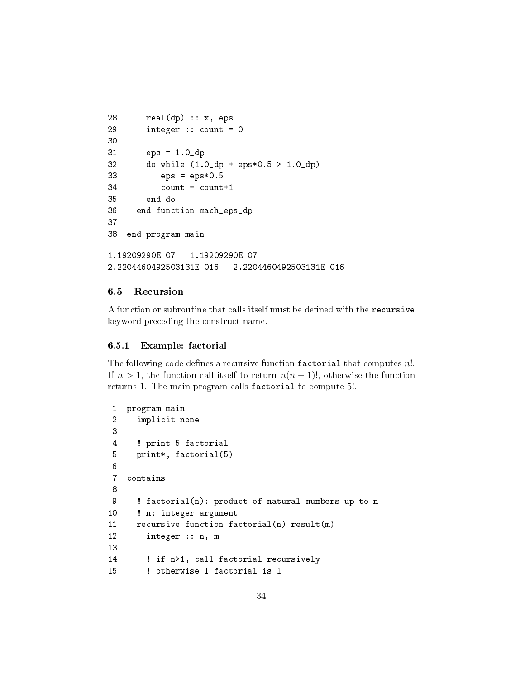```
28 real(dp) :: x, eps
29 integer :: count = 0
30
31 eps = 1.0_dp
32 do while (1.0_dp + eps*0.5 > 1.0_dp)
33 eps = eps*0.5
34 count = count+1
35 end do
36 end function mach_eps_dp
37
38 end program main
1.19209290E-07 1.19209290E-07
2.2204460492503131E-016 2.2204460492503131E-016
```
## <span id="page-33-0"></span>6.5 Recursion

A function or subroutine that calls itself must be defined with the recursive keyword preceding the construct name.

#### <span id="page-33-1"></span>6.5.1 Example: factorial

The following code defines a recursive function factorial that computes  $n!$ . If  $n > 1$ , the function call itself to return  $n(n - 1)!$ , otherwise the function returns 1. The main program calls factorial to compute 5!.

```
1 program main
2 implicit none
3
4 ! print 5 factorial
5 print*, factorial(5)
6
7 contains
8
9 ! factorial(n): product of natural numbers up to n
10 ! n: integer argument
11 recursive function factorial(n) result(m)
12 integer :: n, m
13
14 ! if n>1, call factorial recursively
15 ! otherwise 1 factorial is 1
```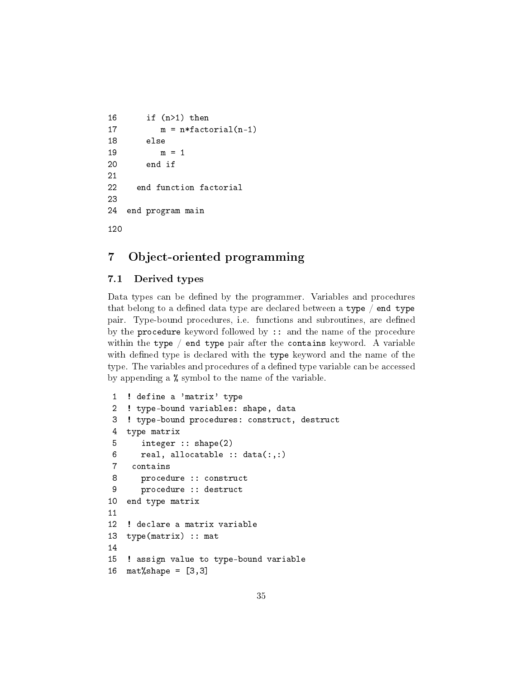```
16 if (n>1) then
17 m = n*factorial(n-1)
18 else
19 m = 1
20 end if
21
22 end function factorial
23
24 end program main
120
```
## <span id="page-34-0"></span>7 Object-oriented programming

## <span id="page-34-1"></span>7.1 Derived types

Data types can be defined by the programmer. Variables and procedures that belong to a defined data type are declared between a type  $/$  end type pair. Type-bound procedures, i.e. functions and subroutines, are defined by the **procedure** keyword followed by  $\cdots$  and the name of the procedure within the type  $/$  end type pair after the contains keyword. A variable with defined type is declared with the type keyword and the name of the type. The variables and procedures of a defined type variable can be accessed by appending a % symbol to the name of the variable.

```
1 ! define a 'matrix' type
2 ! type-bound variables: shape, data
3 ! type-bound procedures: construct, destruct
4 type matrix
5 integer :: shape(2)
6 real, allocatable :: data(:,:)7 contains
8 procedure :: construct
9 procedure :: destruct
10 end type matrix
11
12 ! declare a matrix variable
13 type(matrix) :: mat
14
15 ! assign value to type-bound variable
16 mat% shape = [3, 3]
```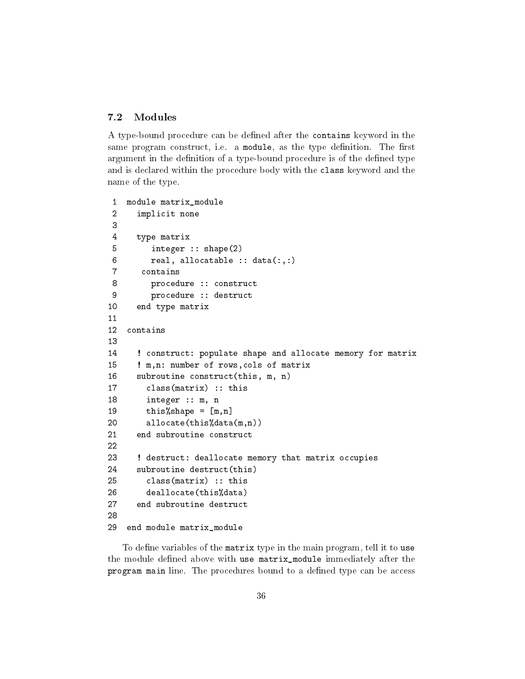## <span id="page-35-0"></span>7.2 Modules

A type-bound procedure can be defined after the contains keyword in the same program construct, i.e. a module, as the type definition. The first argument in the definition of a type-bound procedure is of the defined type and is declared within the procedure body with the class keyword and the name of the type.

```
1 module matrix_module
2 implicit none
3
4 type matrix
5 integer :: shape(2)
6 real, allocatable :: data(:,:)7 contains
8 procedure :: construct
9 procedure :: destruct
10 end type matrix
11
12 contains
13
14 ! construct: populate shape and allocate memory for matrix
15 ! m,n: number of rows,cols of matrix
16 subroutine construct(this, m, n)
17 class(matrix) :: this
18 integer :: m, n
19 \text{this\% shape} = [m,n]20 allocate(this%data(m,n))
21 end subroutine construct
22
23 ! destruct: deallocate memory that matrix occupies
24 subroutine destruct(this)
25 class(matrix) :: this
26 deallocate(this%data)
27 end subroutine destruct
28
29 end module matrix_module
```
To define variables of the matrix type in the main program, tell it to use the module defined above with use matrix\_module immediately after the program main line. The procedures bound to a defined type can be access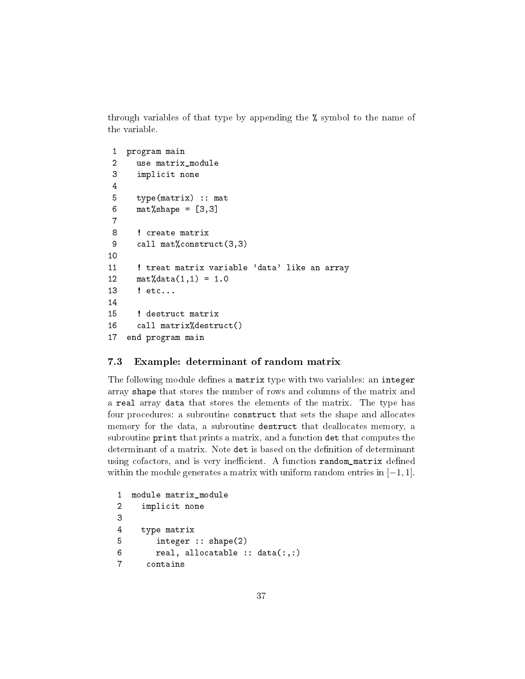through variables of that type by appending the % symbol to the name of the variable.

```
1 program main
 2 use matrix_module
 3 implicit none
 4
 5 type(matrix) :: mat
 6 mat%shape = [3,3]7
 8 ! create matrix
 9 call mat%construct(3,3)
10
11 ! treat matrix variable 'data' like an array
12 \text{mat}%data(1,1) = 1.013 ! etc...
14
15 ! destruct matrix
16 call matrix%destruct()
17 end program main
```
#### <span id="page-36-0"></span>7.3 Example: determinant of random matrix

The following module defines a matrix type with two variables: an integer array shape that stores the number of rows and columns of the matrix and a real array data that stores the elements of the matrix. The type has four procedures: a subroutine construct that sets the shape and allocates memory for the data, a subroutine destruct that deallocates memory, a subroutine print that prints a matrix, and a function det that computes the determinant of a matrix. Note det is based on the definition of determinant using cofactors, and is very inefficient. A function random\_matrix defined within the module generates a matrix with uniform random entries in  $[-1, 1]$ .

```
1 module matrix_module
2 implicit none
3
4 type matrix
5 integer :: shape(2)
6 real, allocatable :: data(:,:)
7 contains
```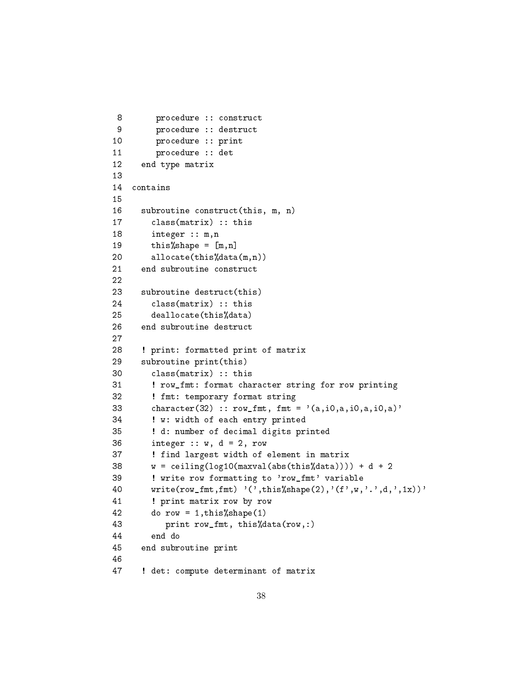```
8 procedure :: construct
 9 procedure :: destruct
10 procedure :: print
11 procedure :: det
12 end type matrix
13
14 contains
15
16 subroutine construct(this, m, n)
17 class(matrix) :: this
18 integer :: m,n
19 \text{this\% shape} = [m,n]20 allocate(this%data(m,n))
21 end subroutine construct
22
23 subroutine destruct(this)
24 class(matrix) :: this
25 deallocate(this%data)
26 end subroutine destruct
27
28 ! print: formatted print of matrix
29 subroutine print(this)
30 class(matrix) :: this
31 ! row_fmt: format character string for row printing
32 ! fmt: temporary format string
33 character(32) :: row_fmt, fmt = '(a, i0, a, i0, a, i0, a)'34 ! w: width of each entry printed
35 ! d: number of decimal digits printed
36 integer :: w, d = 2, row
37 ! find largest width of element in matrix
38 w = \text{ceiling}(\text{log}10(\text{maxval}(\text{abs}(\text{this}\text{%data})))) + d + 239 ! write row formatting to 'row_fmt' variable
40 write(row_fmt,fmt) '(',this%shape(2),'(f',w,'.',d,',1x))'
41 ! print matrix row by row
42 do row = 1,this%shape(1)
43 print row_fmt, this%data(row,:)
44 end do
45 end subroutine print
46
47 ! det: compute determinant of matrix
```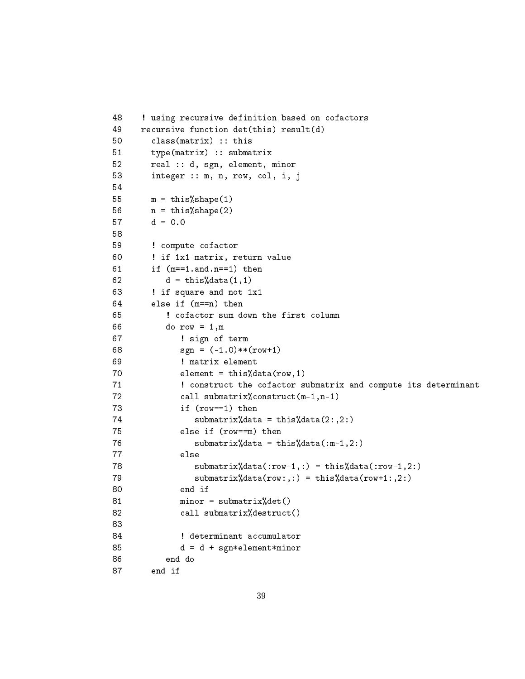```
48 ! using recursive definition based on cofactors
49 recursive function det(this) result(d)
50 class(matrix) :: this
51 type(matrix) :: submatrix
52 real :: d, sgn, element, minor
53 integer :: m, n, row, col, i, j
54
55 m = \text{this}\% \text{shape}(1)56 n = \text{this}\% \text{shape}(2)57 d = 0.058
59 ! compute cofactor
60 ! if 1x1 matrix, return value
61 if (m=-1.and.n==1) then
62 d = \text{this}\text{%data}(1,1)63 ! if square and not 1x1
64 else if (m==n) then
65 ! cofactor sum down the first column
66 do row = 1,m
67 ! sign of term
68 sgn = (-1.0) **(row+1)69 ! matrix element
70 element = this%data(row, 1)
71 ! construct the cofactor submatrix and compute its determinant
72 call submatrix%construct(m-1,n-1)
73 if (row==1) then
74 submatrix%data = this%data(2:,2:)
75 else if (row==m) then
76 submatrix%data = this%data(:m-1,2:)
77 else
78 submatrix%data(:row-1,:) = this%data(:row-1,2:)
79 submatrix%data(row:,:) = this%data(row+1:,2:)
80 end if
81 minor = submatrix%det()
82 call submatrix%destruct()
83
84 ! determinant accumulator
85 d = d + sgn*element*minor
86 end do
87 end if
```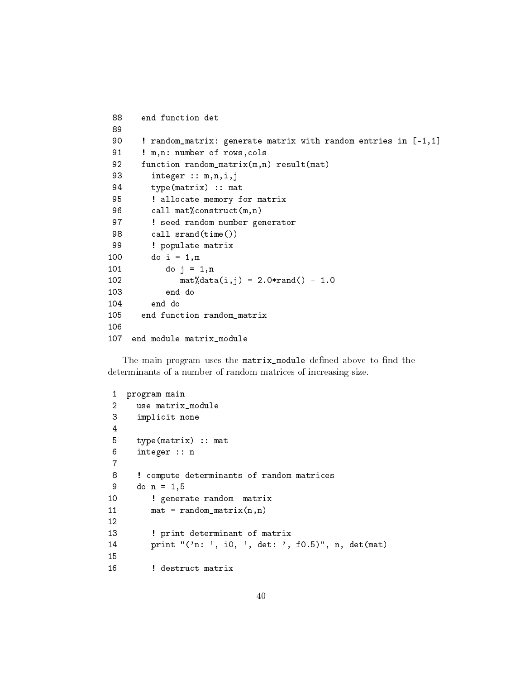```
88 end function det
89
90 ! random_matrix: generate matrix with random entries in [-1,1]
91 ! m,n: number of rows, cols
92 function random_matrix(m,n) result(mat)
93 integer :: m,n,i,j
94 type(matrix) :: mat
95 ! allocate memory for matrix
96 call mat%construct(m,n)
97 ! seed random number generator
98 call srand(time())
99 ! populate matrix
100 do i = 1,m
101 do j = 1, n102 \text{mat} \text{M} \text{data}(i,j) = 2.0 \text{*rand}() - 1.0103 end do
104 end do
105 end function random_matrix
106
107 end module matrix_module
```
The main program uses the matrix\_module defined above to find the determinants of a number of random matrices of increasing size.

```
1 program main
2 use matrix_module
3 implicit none
4
5 type(matrix) :: mat
6 integer :: n
7
8 ! compute determinants of random matrices
9 do n = 1, 510 ! generate random matrix
11 mat = random_matrix(n,n)
12
13 : print determinant of matrix
14 print "('n: ', i0, ', det: ', f0.5)", n, det(mat)
15
16 ! destruct matrix
```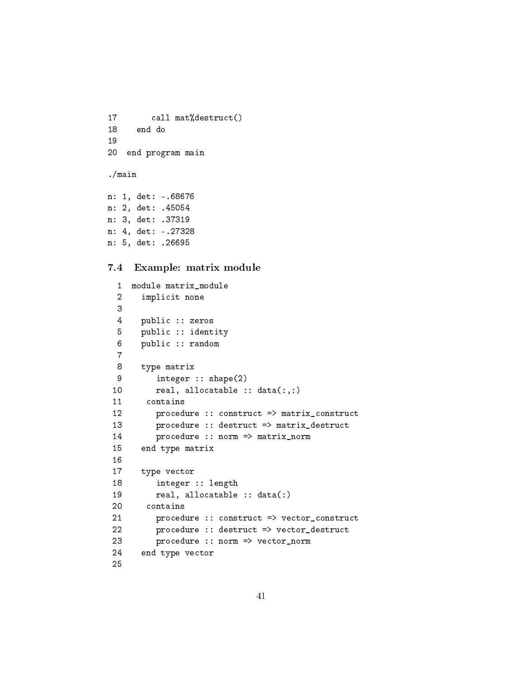```
17 call mat%destruct()
18 end do
19
20 end program main
./main
n: 1, det: -.68676
n: 2, det: .45054
```

```
n: 3, det: .37319
n: 4, det: -.27328
n: 5, det: .26695
```
#### <span id="page-40-0"></span>7.4 Example: matrix module

```
1 module matrix_module
 2 implicit none
 3
4 public :: zeros
 5 public :: identity
 6 public :: random
 7
 8 type matrix
9 integer :: shape(2)
10 real, allocatable :: data(:,:)
11 contains
12 procedure :: construct => matrix_construct
13 procedure :: destruct => matrix_destruct
14 procedure :: norm => matrix_norm
15 end type matrix
16
17 type vector
18 integer :: length
19 real, allocatable :: data(:)
20 contains
21 procedure :: construct => vector_construct
22 procedure :: destruct => vector_destruct
23 procedure :: norm => vector_norm
24 end type vector
25
```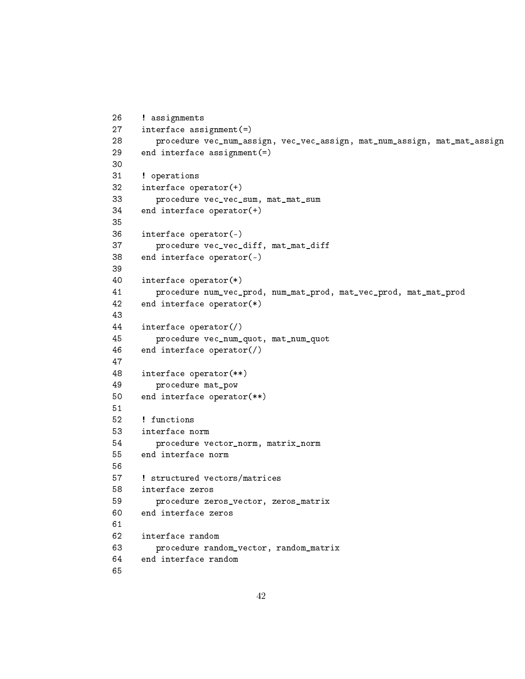```
26 ! assignments
27 interface assignment(=)
28 procedure vec_num_assign, vec_vec_assign, mat_num_assign, mat_mat_assign
29 end interface assignment(=)
30
31 ! operations
32 interface operator(+)
33 procedure vec_vec_sum, mat_mat_sum
34 end interface operator(+)
35
36 interface operator(-)
37 procedure vec_vec_diff, mat_mat_diff
38 end interface operator(-)
39
40 interface operator(*)
41 procedure num_vec_prod, num_mat_prod, mat_vec_prod, mat_mat_prod
42 end interface operator(*)
43
44 interface operator(/)
45 procedure vec_num_quot, mat_num_quot
46 end interface operator(/)
47
48 interface operator(**)
49 procedure mat_pow
50 end interface operator(**)
51
52 ! functions
53 interface norm
54 procedure vector_norm, matrix_norm
55 end interface norm
56
57 ! structured vectors/matrices
58 interface zeros
59 procedure zeros_vector, zeros_matrix
60 end interface zeros
61
62 interface random
63 procedure random_vector, random_matrix
64 end interface random
65
```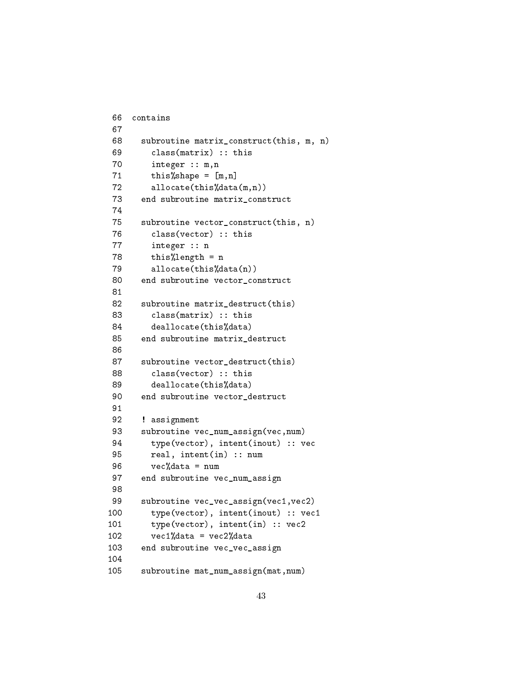```
66 contains
67
68 subroutine matrix_construct(this, m, n)
69 class(matrix) :: this
70 integer :: m,n
71 this%shape = [m,n]72 allocate(this%data(m,n))
73 end subroutine matrix_construct
74
75 subroutine vector_construct(this, n)
76 class(vector) :: this
77 integer :: n
78 this%length = n
79 allocate(this%data(n))
80 end subroutine vector_construct
81
82 subroutine matrix_destruct(this)
83 class(matrix) :: this
84 deallocate(this%data)
85 end subroutine matrix_destruct
86
87 subroutine vector_destruct(this)
88 class(vector) :: this
89 deallocate(this%data)
90 end subroutine vector_destruct
91
92 ! assignment
93 subroutine vec_num_assign(vec,num)
94 type(vector), intent(inout) :: vec
95 real, intent(in) :: num
96 vec%data = num
97 end subroutine vec_num_assign
98
99 subroutine vec_vec_assign(vec1, vec2)
100 type(vector), intent(inout) :: vec1
101 type(vector), intent(in) :: vec2
102 vec1%data = vec2%data
103 end subroutine vec_vec_assign
104
105 subroutine mat_num_assign(mat,num)
```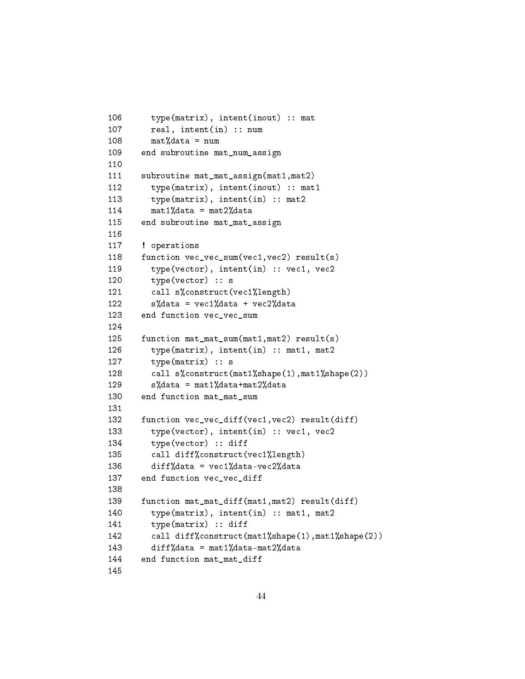```
106 type(matrix), intent(inout) :: mat
107 real, intent(in) :: num
108 \text{mat}%data = num
109 end subroutine mat_num_assign
110
111 subroutine mat_mat_assign(mat1,mat2)
112 type(matrix), intent(inout) :: mat1
113 type(matrix), intent(in) :: mat2
114 mat1%data = mat2%data
115 end subroutine mat_mat_assign
116
117 ! operations
118 function vec vec sum(vec1, vec2) result(s)
119 type(vector), intent(in) :: vec1, vec2
120 type(vector) :: s
121 call s%construct(vec1%length)
122 s''_ndata = vec1n'data + vec2n'data
123 end function vec vec sum
124
125 function mat_mat_sum(mat1,mat2) result(s)
126 type(matrix), intent(in) :: mat1, mat2
127 type(matrix) :: s
128 call s%construct(mat1%shape(1),mat1%shape(2))
129 s''_4data = mat1\alphadata+mat2\alphadata
130 end function mat_mat_sum
131
132 function vec_vec_diff(vec1,vec2) result(diff)
133 type(vector), intent(in) :: vec1, vec2
134 type(vector) :: diff
135 call diff%construct(vec1%length)
136 diff%data = vec1%data-vec2%data
137 end function vec vec diff
138
139 function mat_mat_diff(mat1,mat2) result(diff)
140 type(matrix), intent(in) :: mat1, mat2
141 type(matrix) :: diff
142 call diff%construct(mat1%shape(1),mat1%shape(2))
143 diff%data = mat1%data-mat2%data
144 end function mat_mat_diff
145
```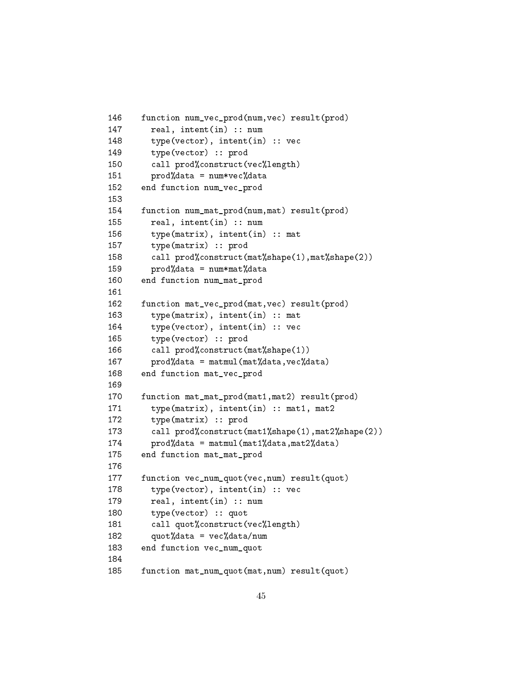```
146 function num_vec_prod(num,vec) result(prod)
147 real, intent(in) :: num
148 type(vector), intent(in) :: vec
149 type(vector) :: prod
150 call prod%construct(vec%length)
151 prod%data = num*vec%data152 end function num_vec_prod
153
154 function num_mat_prod(num,mat) result(prod)
155 real, intent(in) :: num
156 type(matrix), intent(in) :: mat
157 type(matrix) :: prod
158 call prod%construct(mat%shape(1),mat%shape(2))
159 prod%data = num*mat%data
160 end function num_mat_prod
161
162 function mat_vec_prod(mat,vec) result(prod)
163 type(matrix), intent(in) :: mat
164 type(vector), intent(in) :: vec
165 type(vector) :: prod
166 call prod%construct(mat%shape(1))
167 prod%data = matmul(mat%data,vec%data)
168 end function mat_vec_prod
169
170 function mat_mat_prod(mat1,mat2) result(prod)
171 type(matrix), intent(in) :: mat1, mat2
172 type(matrix) :: prod
173 call prod%construct(mat1%shape(1),mat2%shape(2))
174 prod%data = matmul(mat1%data,mat2%data)
175 end function mat_mat_prod
176
177 function vec_num_quot(vec,num) result(quot)
178 type(vector), intent(in) :: vec
179 real, intent(in) :: num
180 type(vector) :: quot
181 call quot%construct(vec%length)
182 quot%data = vec%data/num
183 end function vec_num_quot
184
185 function mat_num_quot(mat,num) result(quot)
```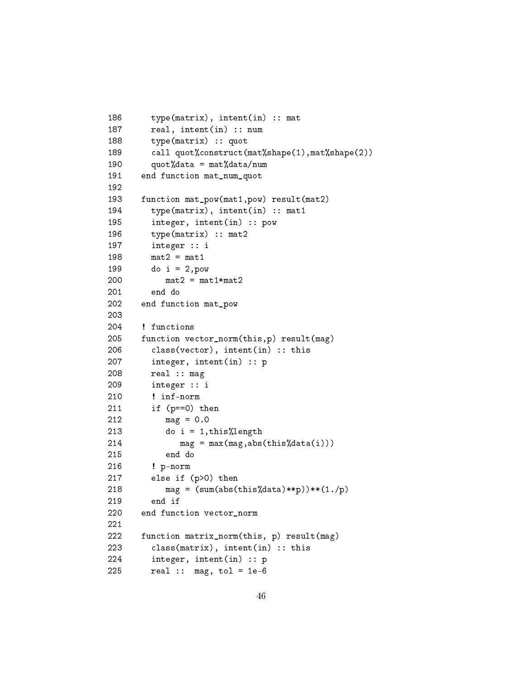```
186 type(matrix), intent(in) :: mat
187 real, intent(in) :: num
188 type(matrix) :: quot
189 call quot%construct(mat%shape(1),mat%shape(2))
190 quot%data = mat%data/num191 end function mat_num_quot
192
193 function mat_pow(mat1,pow) result(mat2)
194 type(matrix), intent(in) :: mat1
195 integer, intent(in) :: pow
196 type(matrix) :: mat2
197 integer :: i
198 mat2 = mat1
199 do i = 2,pow
200 mat2 = mat1*mat2
201 end do
202 end function mat_pow
203
204 ! functions
205 function vector_norm(this,p) result(mag)
206 class(vector), intent(in) :: this
207 integer, intent(in) :: p
208 real :: mag
209 integer :: i
210 ! inf-norm
211 if (p==0) then
212 mag = 0.0
213 do i = 1,this%length
214 mag = max(mag,abs(this%data(i)))
215 end do
216 ! p-norm
217 else if (p>0) then
218 mag = (sum(abs(this)\ddot{\delta} + sp))**(1./p)219 end if
220 end function vector_norm
221
222 function matrix_norm(this, p) result(mag)
223 class(matrix), intent(in) :: this
224 integer, intent(in) :: p
225 real :: mag, tol = 1e-6
```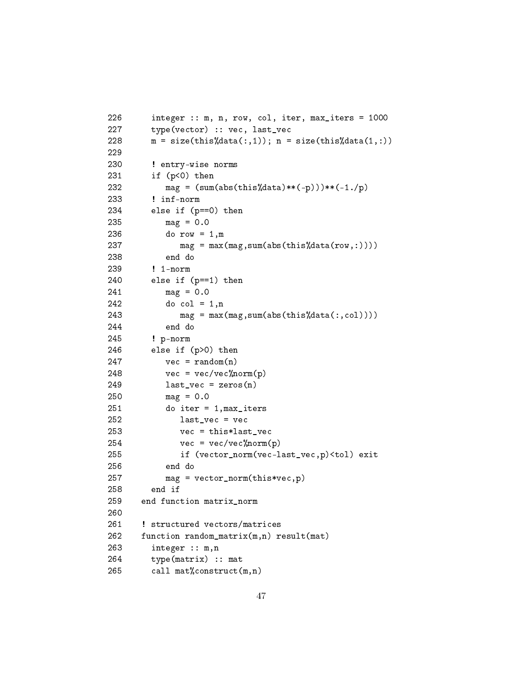```
226 integer :: m, n, row, col, iter, max_iters = 1000
227 type(vector) :: vec, last_vec
228 m = size(this%data(:,1)); n = size(this%data(1,:))229
230 ! entry-wise norms
231 if (p<0) then
232 mag = (sum(abs(this)\ddot{\delta}data)*(-p)))*(-1./p)233 ! inf-norm
234 else if (p==0) then
235 mag = 0.0
236 do row = 1,m
237 mag = max(max, sum(abs(this)\data(row,:)))238 end do
239 ! 1-norm
240 else if (p==1) then
241 mag = 0.0
242 do col = 1, n243 mag = max(mag,sum(abs(this%data(:,col))))
244 end do
245 ! p-norm
246 else if (p>0) then
247 vec = \text{random}(n)248 vec = vec/vec%norm(p)
249 last_vec = zeros(n)
250 mag = 0.0
251 do iter = 1,max_iters
252 last_vec = vec
253 vec = this*last_vec
254 vec = vec/vec%norm(p)255 if (vector_norm(vec-last_vec,p)<tol) exit
256 end do
257 mag = vector_norm(this*vec,p)
258 end if
259 end function matrix_norm
260
261 ! structured vectors/matrices
262 function random_matrix(m,n) result(mat)
263 integer :: m,n
264 type(matrix) :: mat
265 call mat%construct(m,n)
```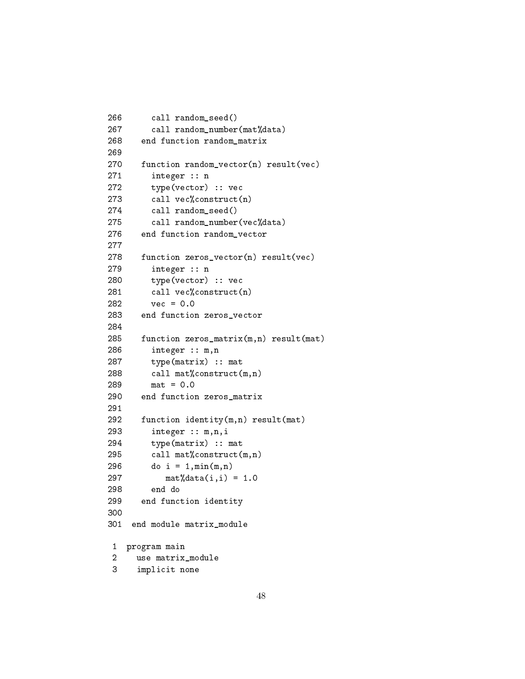```
266 call random_seed()
267 call random_number(mat%data)
268 end function random_matrix
269
270 function random_vector(n) result(vec)
271 integer :: n
272 type(vector) :: vec
273 call vec%construct(n)
274 call random_seed()
275 call random_number(vec%data)
276 end function random_vector
277
278 function zeros_vector(n) result(vec)
279 integer :: n
280 type(vector) :: vec
281 call vec%construct(n)
282 vec = 0.0
283 end function zeros_vector
284
285 function zeros_matrix(m,n) result(mat)
286 integer :: m,n
287 type(matrix) :: mat
288 call mat%construct(m,n)
289 mat = 0.0
290 end function zeros_matrix
291
292 function identity(m,n) result(mat)
293 integer :: m,n,i
294 type(matrix) :: mat
295 call mat%construct(m,n)
296 do i = 1, min(m, n)297 mat%data(i, i) = 1.0298 end do
299 end function identity
300
301 end module matrix_module
1 program main
2 use matrix_module
3 implicit none
```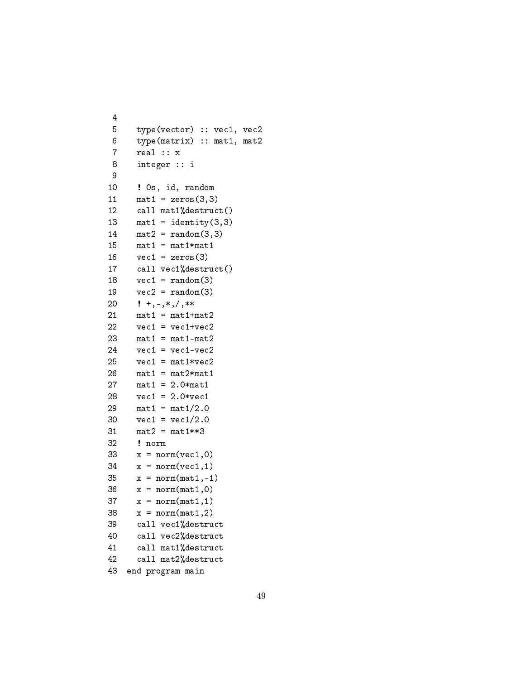```
4
5 type(vector) :: vec1, vec2
 6 type(matrix) :: mat1, mat2
 7 real :: x
 8 integer :: i
 9
10 ! 0s, id, random
11 mat1 = zeros(3,3)12 call mat1%destruct()
13 mat1 = identity(3,3)14 mat2 = random(3,3)15 mat1 = mat1*mat1
16 \text{ vec1} = \text{zeros}(3)17 call vec1%destruct()
18 vec1 = random(3)19 vec2 = random(3)20 ! +, -, *, / , **21 mat1 = mat1+mat2
22 vec1 = vec1+vec2
23 mat1 = mat1-mat2
24 vec1 = vec1-vec2
25 vec1 = mat1*vec2
26 mat1 = mat2*mat1
27 mat1 = 2.0*mat1
28 vec1 = 2.0*vec1
29 mat1 = mat1/2.0
30 vec1 = vec1/2.031 mat2 = mat1**332 ! norm
33 x = norm(vec1, 0)34 \times = norm(vec1,1)35 x = norm(mat1, -1)36 \times = norm(mat1,0)37 \times = \text{norm}(\text{mat1}, 1)38 x = norm(mat1, 2)39 call vec1%destruct
40 call vec2%destruct
41 call mat1%destruct
42 call mat2%destruct
43 end program main
```